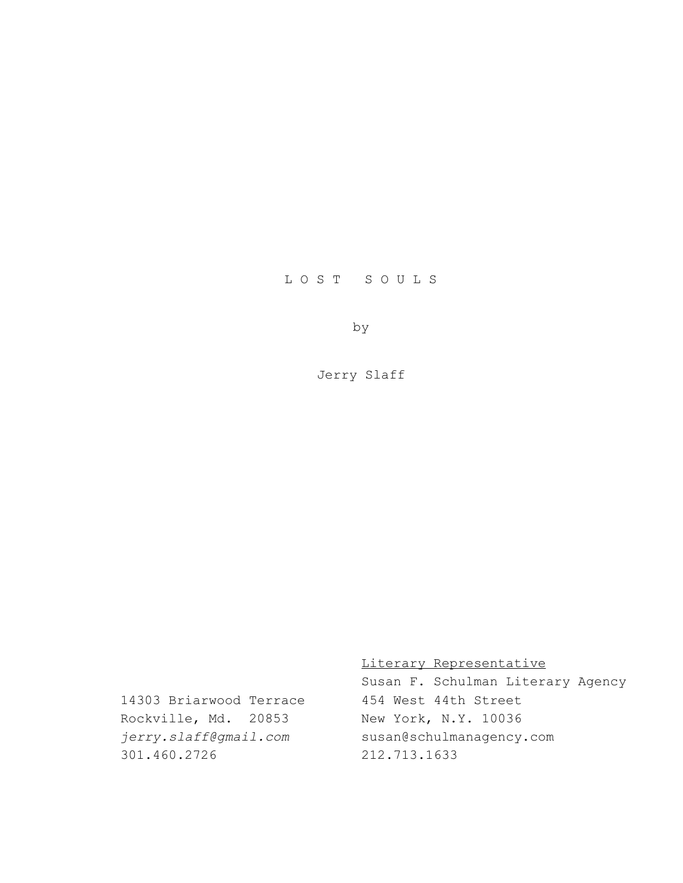# L O S T S O U L S

by

Jerry Slaff

Literary Representative

Susan F. Schulman Literary Agency 14303 Briarwood Terrace 454 West 44th Street *jerry.slaff@gmail.com* susan@schulmanagency.com

Rockville, Md. 20853 New York, N.Y. 10036 301.460.2726 212.713.1633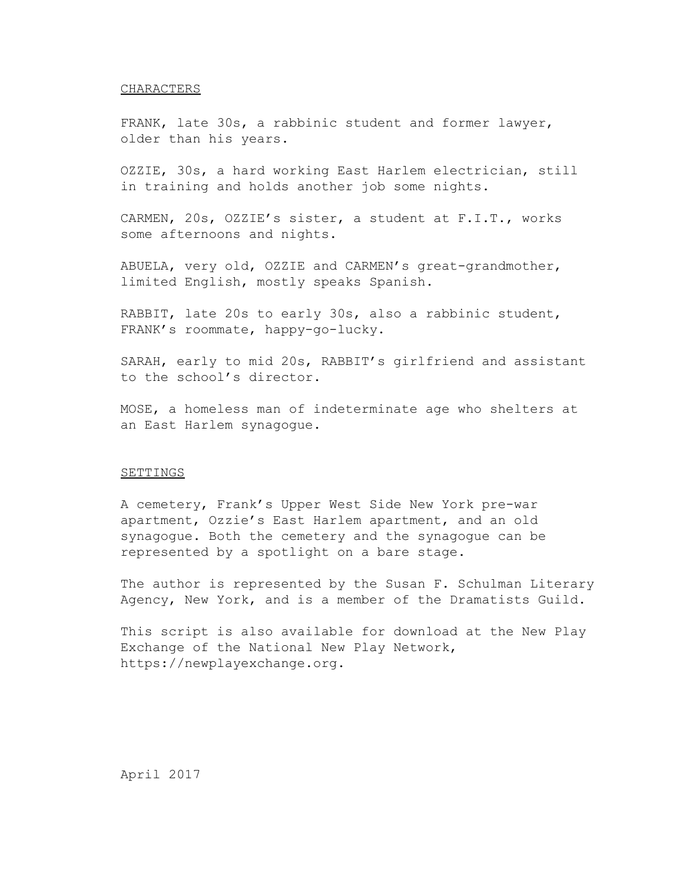### CHARACTERS

FRANK, late 30s, a rabbinic student and former lawyer, older than his years.

OZZIE, 30s, a hard working East Harlem electrician, still in training and holds another job some nights.

CARMEN, 20s, OZZIE's sister, a student at F.I.T., works some afternoons and nights.

ABUELA, very old, OZZIE and CARMEN's great-grandmother, limited English, mostly speaks Spanish.

RABBIT, late 20s to early 30s, also a rabbinic student, FRANK's roommate, happy-go-lucky.

SARAH, early to mid 20s, RABBIT's girlfriend and assistant to the school's director.

MOSE, a homeless man of indeterminate age who shelters at an East Harlem synagogue.

## **SETTINGS**

A cemetery, Frank's Upper West Side New York pre-war apartment, Ozzie's East Harlem apartment, and an old synagogue. Both the cemetery and the synagogue can be represented by a spotlight on a bare stage.

The author is represented by the Susan F. Schulman Literary Agency, New York, and is a member of the Dramatists Guild.

This script is also available for download at the New Play Exchange of the National New Play Network, https://newplayexchange.org.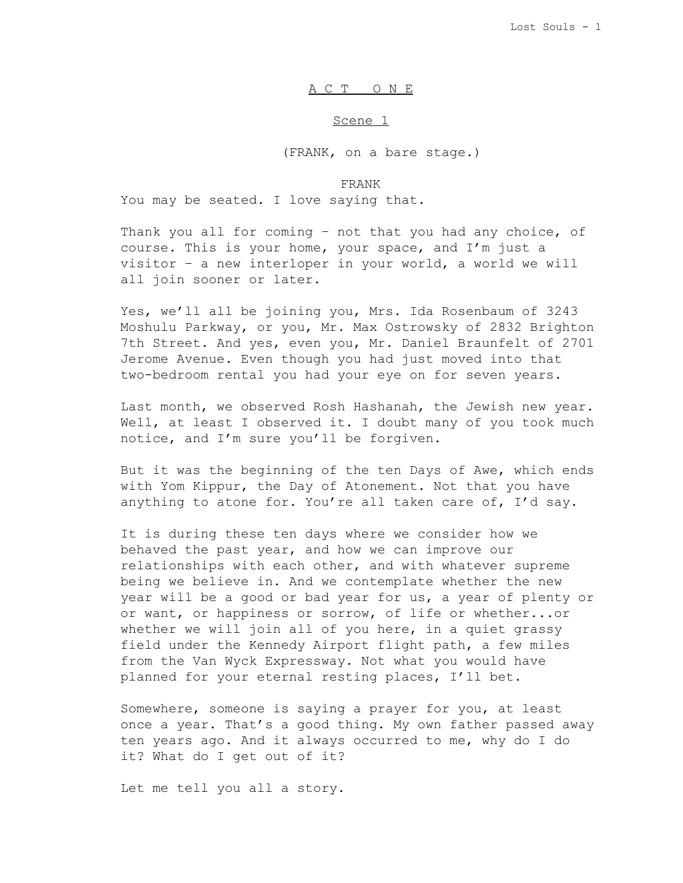## A C T O N E

#### Scene 1

(FRANK, on a bare stage.)

### FRANK

You may be seated. I love saying that.

Thank you all for coming – not that you had any choice, of course. This is your home, your space, and I'm just a visitor – a new interloper in your world, a world we will all join sooner or later.

Yes, we'll all be joining you, Mrs. Ida Rosenbaum of 3243 Moshulu Parkway, or you, Mr. Max Ostrowsky of 2832 Brighton 7th Street. And yes, even you, Mr. Daniel Braunfelt of 2701 Jerome Avenue. Even though you had just moved into that two-bedroom rental you had your eye on for seven years.

Last month, we observed Rosh Hashanah, the Jewish new year. Well, at least I observed it. I doubt many of you took much notice, and I'm sure you'll be forgiven.

But it was the beginning of the ten Days of Awe, which ends with Yom Kippur, the Day of Atonement. Not that you have anything to atone for. You're all taken care of, I'd say.

It is during these ten days where we consider how we behaved the past year, and how we can improve our relationships with each other, and with whatever supreme being we believe in. And we contemplate whether the new year will be a good or bad year for us, a year of plenty or or want, or happiness or sorrow, of life or whether...or whether we will join all of you here, in a quiet grassy field under the Kennedy Airport flight path, a few miles from the Van Wyck Expressway. Not what you would have planned for your eternal resting places, I'll bet.

Somewhere, someone is saying a prayer for you, at least once a year. That's a good thing. My own father passed away ten years ago. And it always occurred to me, why do I do it? What do I get out of it?

Let me tell you all a story.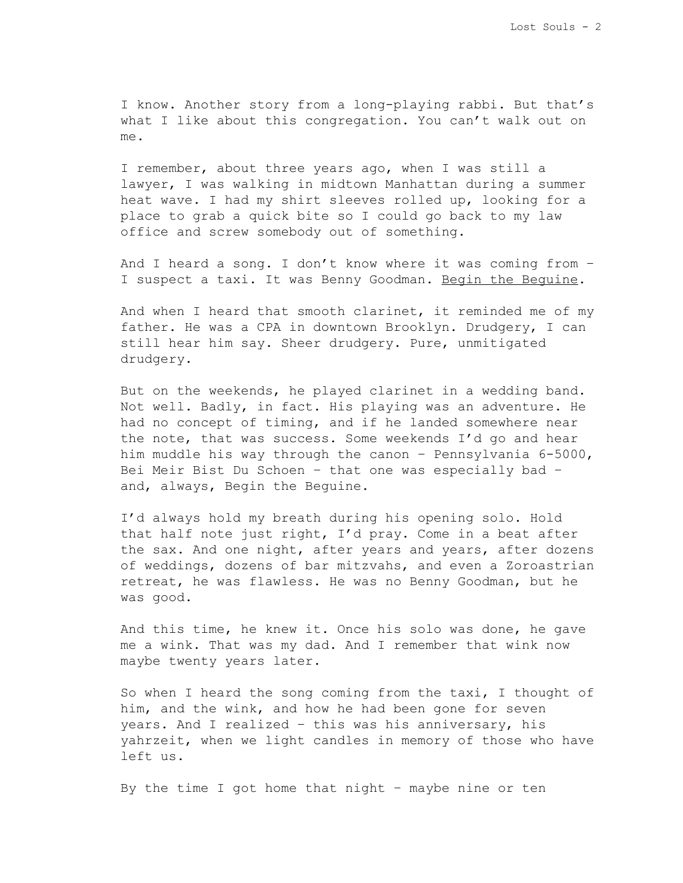I know. Another story from a long-playing rabbi. But that's what I like about this congregation. You can't walk out on me.

I remember, about three years ago, when I was still a lawyer, I was walking in midtown Manhattan during a summer heat wave. I had my shirt sleeves rolled up, looking for a place to grab a quick bite so I could go back to my law office and screw somebody out of something.

And I heard a song. I don't know where it was coming from – I suspect a taxi. It was Benny Goodman. Begin the Beguine.

And when I heard that smooth clarinet, it reminded me of my father. He was a CPA in downtown Brooklyn. Drudgery, I can still hear him say. Sheer drudgery. Pure, unmitigated drudgery.

But on the weekends, he played clarinet in a wedding band. Not well. Badly, in fact. His playing was an adventure. He had no concept of timing, and if he landed somewhere near the note, that was success. Some weekends I'd go and hear him muddle his way through the canon – Pennsylvania 6-5000, Bei Meir Bist Du Schoen – that one was especially bad – and, always, Begin the Beguine.

I'd always hold my breath during his opening solo. Hold that half note just right, I'd pray. Come in a beat after the sax. And one night, after years and years, after dozens of weddings, dozens of bar mitzvahs, and even a Zoroastrian retreat, he was flawless. He was no Benny Goodman, but he was good.

And this time, he knew it. Once his solo was done, he gave me a wink. That was my dad. And I remember that wink now maybe twenty years later.

So when I heard the song coming from the taxi, I thought of him, and the wink, and how he had been gone for seven years. And I realized – this was his anniversary, his yahrzeit, when we light candles in memory of those who have left us.

By the time I got home that night – maybe nine or ten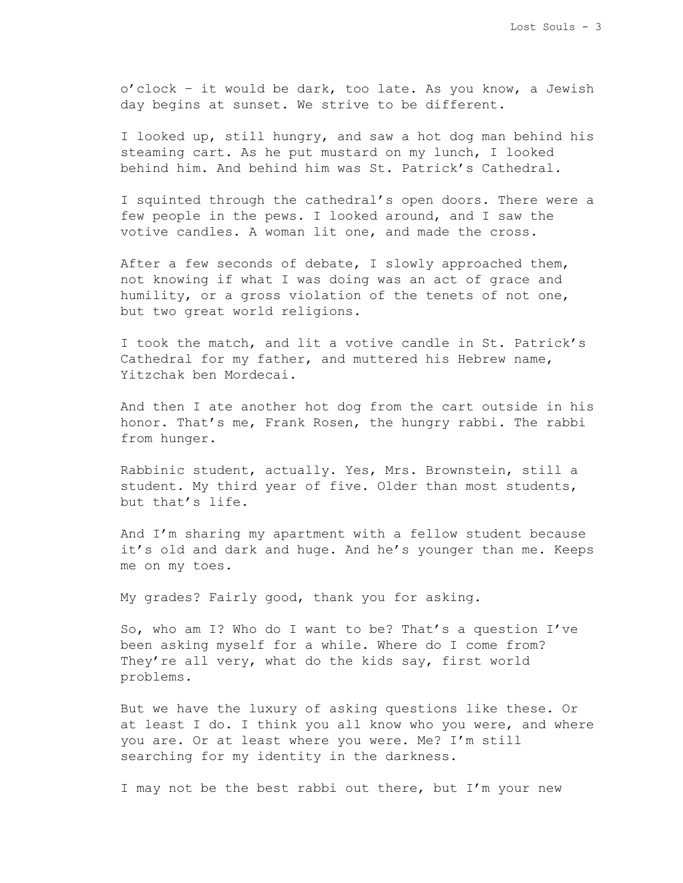o'clock – it would be dark, too late. As you know, a Jewish day begins at sunset. We strive to be different.

I looked up, still hungry, and saw a hot dog man behind his steaming cart. As he put mustard on my lunch, I looked behind him. And behind him was St. Patrick's Cathedral.

I squinted through the cathedral's open doors. There were a few people in the pews. I looked around, and I saw the votive candles. A woman lit one, and made the cross.

After a few seconds of debate, I slowly approached them, not knowing if what I was doing was an act of grace and humility, or a gross violation of the tenets of not one, but two great world religions.

I took the match, and lit a votive candle in St. Patrick's Cathedral for my father, and muttered his Hebrew name, Yitzchak ben Mordecai.

And then I ate another hot dog from the cart outside in his honor. That's me, Frank Rosen, the hungry rabbi. The rabbi from hunger.

Rabbinic student, actually. Yes, Mrs. Brownstein, still a student. My third year of five. Older than most students, but that's life.

And I'm sharing my apartment with a fellow student because it's old and dark and huge. And he's younger than me. Keeps me on my toes.

My grades? Fairly good, thank you for asking.

So, who am I? Who do I want to be? That's a question I've been asking myself for a while. Where do I come from? They're all very, what do the kids say, first world problems.

But we have the luxury of asking questions like these. Or at least I do. I think you all know who you were, and where you are. Or at least where you were. Me? I'm still searching for my identity in the darkness.

I may not be the best rabbi out there, but I'm your new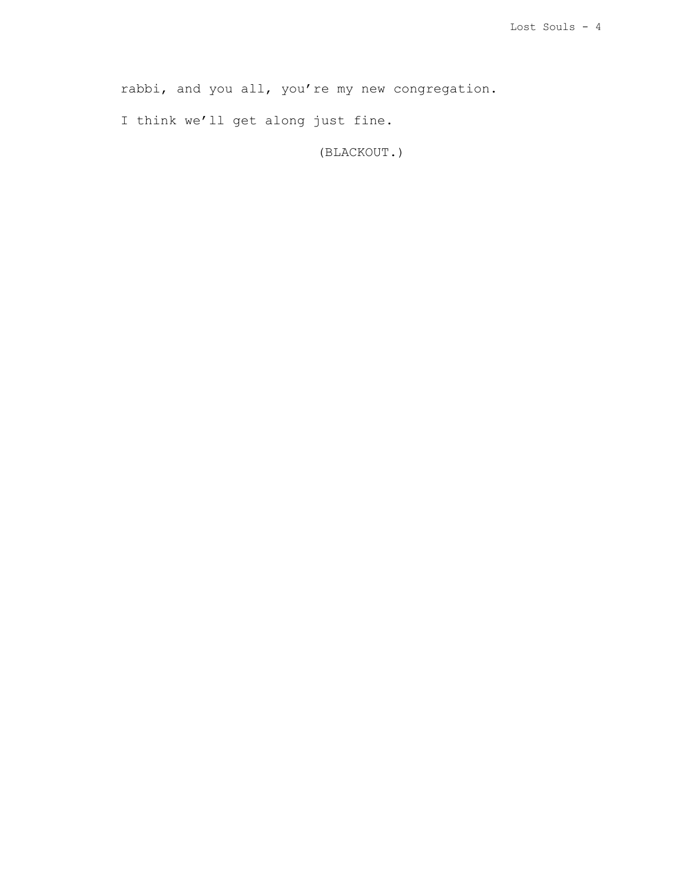rabbi, and you all, you're my new congregation.

I think we'll get along just fine.

(BLACKOUT.)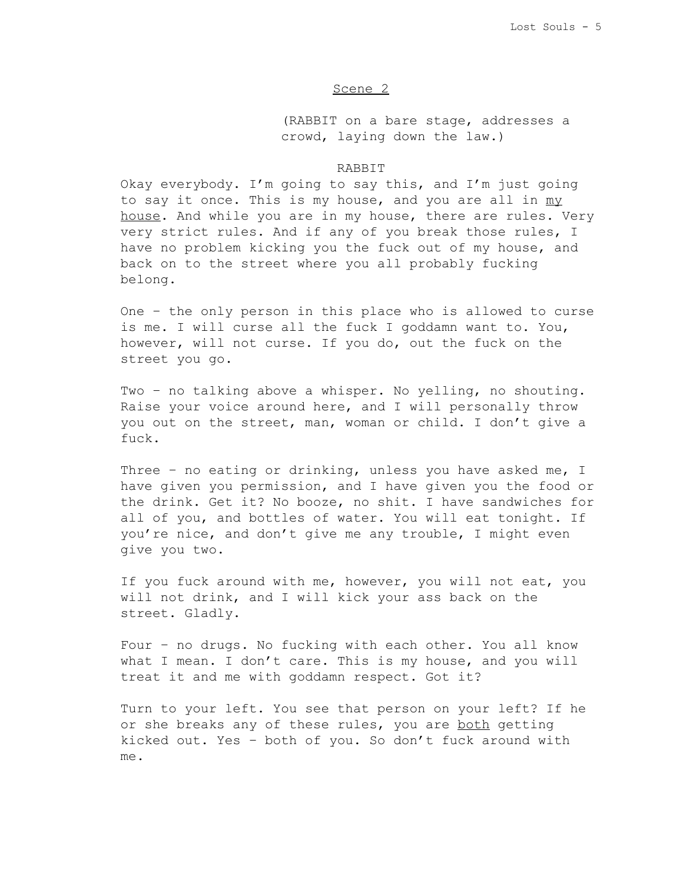# Scene 2

(RABBIT on a bare stage, addresses a crowd, laying down the law.)

# RABBIT

Okay everybody. I'm going to say this, and I'm just going to say it once. This is my house, and you are all in my house. And while you are in my house, there are rules. Very very strict rules. And if any of you break those rules, I have no problem kicking you the fuck out of my house, and back on to the street where you all probably fucking belong.

One – the only person in this place who is allowed to curse is me. I will curse all the fuck I goddamn want to. You, however, will not curse. If you do, out the fuck on the street you go.

Two – no talking above a whisper. No yelling, no shouting. Raise your voice around here, and I will personally throw you out on the street, man, woman or child. I don't give a fuck.

Three – no eating or drinking, unless you have asked me, I have given you permission, and I have given you the food or the drink. Get it? No booze, no shit. I have sandwiches for all of you, and bottles of water. You will eat tonight. If you're nice, and don't give me any trouble, I might even give you two.

If you fuck around with me, however, you will not eat, you will not drink, and I will kick your ass back on the street. Gladly.

Four – no drugs. No fucking with each other. You all know what I mean. I don't care. This is my house, and you will treat it and me with goddamn respect. Got it?

Turn to your left. You see that person on your left? If he or she breaks any of these rules, you are both getting kicked out. Yes – both of you. So don't fuck around with me.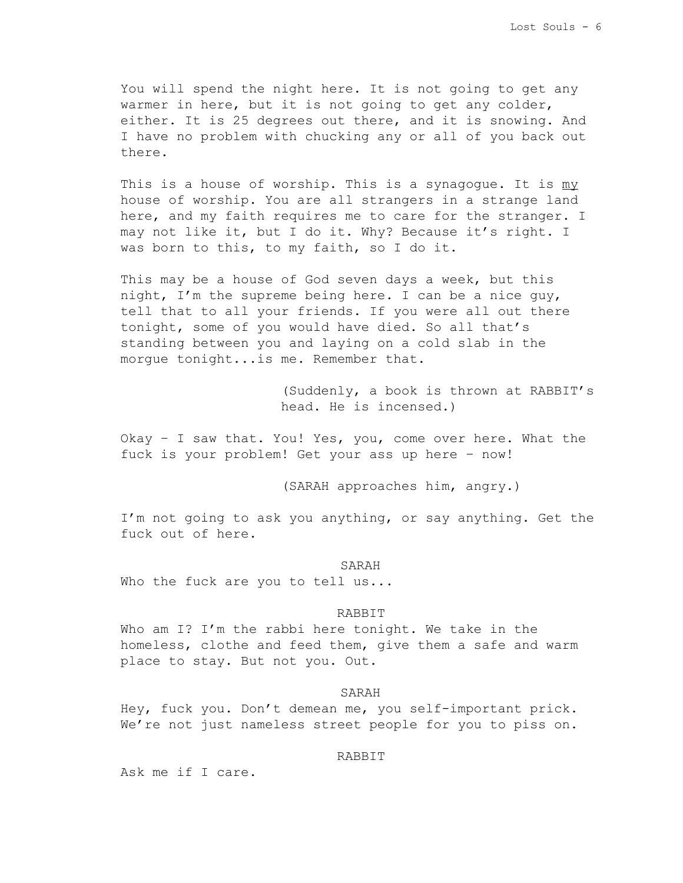You will spend the night here. It is not going to get any warmer in here, but it is not going to get any colder, either. It is 25 degrees out there, and it is snowing. And I have no problem with chucking any or all of you back out there.

This is a house of worship. This is a synagogue. It is  $m y$ house of worship. You are all strangers in a strange land here, and my faith requires me to care for the stranger. I may not like it, but I do it. Why? Because it's right. I was born to this, to my faith, so I do it.

This may be a house of God seven days a week, but this night, I'm the supreme being here. I can be a nice guy, tell that to all your friends. If you were all out there tonight, some of you would have died. So all that's standing between you and laying on a cold slab in the morgue tonight...is me. Remember that.

> (Suddenly, a book is thrown at RABBIT's head. He is incensed.)

Okay – I saw that. You! Yes, you, come over here. What the fuck is your problem! Get your ass up here – now!

(SARAH approaches him, angry.)

I'm not going to ask you anything, or say anything. Get the fuck out of here.

SARAH

Who the fuck are you to tell us...

## RABBIT

Who am I? I'm the rabbi here tonight. We take in the homeless, clothe and feed them, give them a safe and warm place to stay. But not you. Out.

# SARAH

Hey, fuck you. Don't demean me, you self-important prick. We're not just nameless street people for you to piss on.

#### RABBIT

Ask me if I care.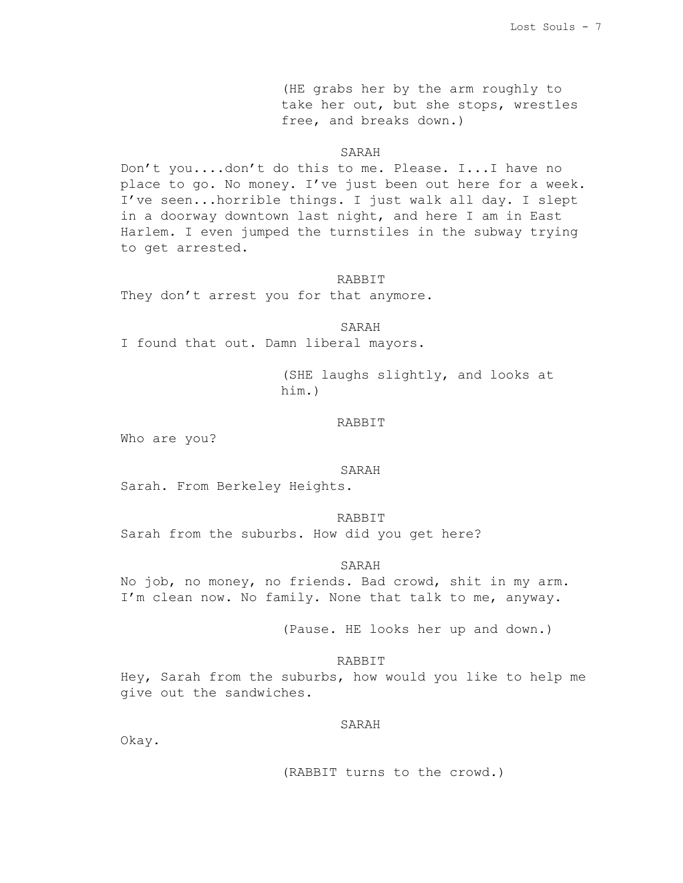(HE grabs her by the arm roughly to take her out, but she stops, wrestles free, and breaks down.)

# SARAH

Don't you....don't do this to me. Please. I...I have no place to go. No money. I've just been out here for a week. I've seen...horrible things. I just walk all day. I slept in a doorway downtown last night, and here I am in East Harlem. I even jumped the turnstiles in the subway trying to get arrested.

#### RABBIT

They don't arrest you for that anymore.

SARAH

I found that out. Damn liberal mayors.

(SHE laughs slightly, and looks at him.)

# RABBIT

Who are you?

#### SARAH

Sarah. From Berkeley Heights.

RABBIT Sarah from the suburbs. How did you get here?

SARAH

No job, no money, no friends. Bad crowd, shit in my arm. I'm clean now. No family. None that talk to me, anyway.

(Pause. HE looks her up and down.)

### RABBIT

Hey, Sarah from the suburbs, how would you like to help me give out the sandwiches.

SARAH

Okay.

(RABBIT turns to the crowd.)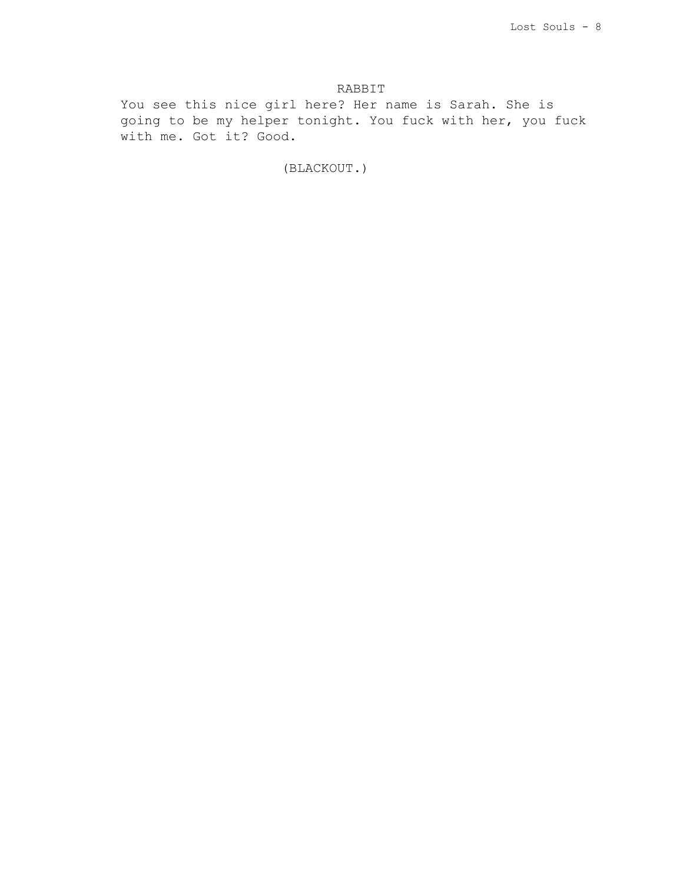# RABBIT

You see this nice girl here? Her name is Sarah. She is going to be my helper tonight. You fuck with her, you fuck with me. Got it? Good.

(BLACKOUT.)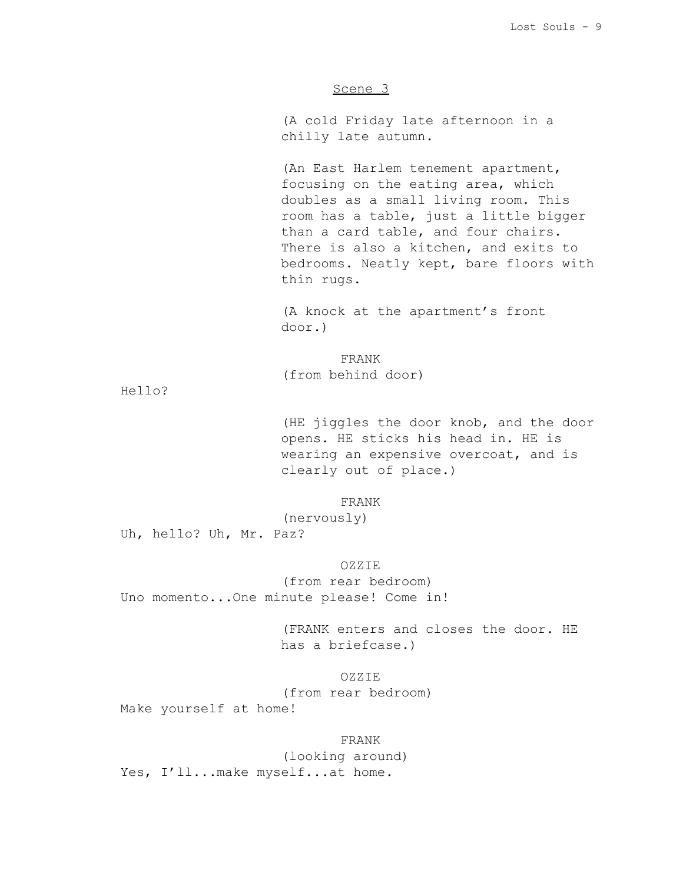# Scene 3

(A cold Friday late afternoon in a chilly late autumn.

(An East Harlem tenement apartment, focusing on the eating area, which doubles as a small living room. This room has a table, just a little bigger than a card table, and four chairs. There is also a kitchen, and exits to bedrooms. Neatly kept, bare floors with thin rugs.

(A knock at the apartment's front door.)

FRANK (from behind door)

Hello?

(HE jiggles the door knob, and the door opens. HE sticks his head in. HE is wearing an expensive overcoat, and is clearly out of place.)

FRANK

(nervously)

Uh, hello? Uh, Mr. Paz?

OZZIE

(from rear bedroom) Uno momento...One minute please! Come in!

> (FRANK enters and closes the door. HE has a briefcase.)

> > OZZIE

(from rear bedroom)

Make yourself at home!

FRANK (looking around) Yes, I'll...make myself...at home.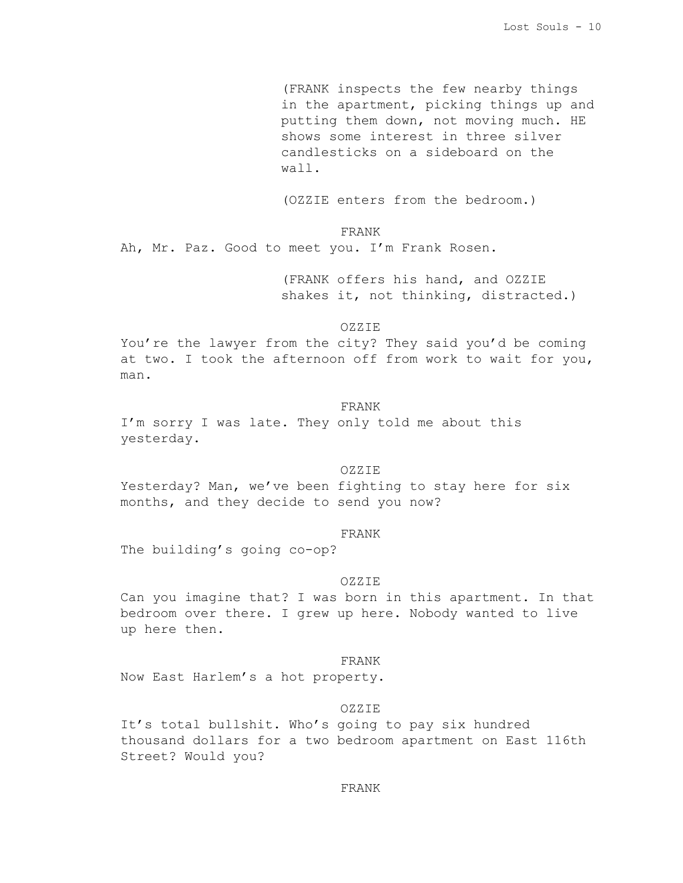(FRANK inspects the few nearby things in the apartment, picking things up and putting them down, not moving much. HE shows some interest in three silver candlesticks on a sideboard on the wall.

(OZZIE enters from the bedroom.)

FRANK

Ah, Mr. Paz. Good to meet you. I'm Frank Rosen.

(FRANK offers his hand, and OZZIE shakes it, not thinking, distracted.)

OZZIE

You're the lawyer from the city? They said you'd be coming at two. I took the afternoon off from work to wait for you, man.

# FRANK

I'm sorry I was late. They only told me about this yesterday.

#### OZZIE

Yesterday? Man, we've been fighting to stay here for six months, and they decide to send you now?

### FRANK

The building's going co-op?

### OZZIE

Can you imagine that? I was born in this apartment. In that bedroom over there. I grew up here. Nobody wanted to live up here then.

### FRANK

Now East Harlem's a hot property.

#### OZZIE

It's total bullshit. Who's going to pay six hundred thousand dollars for a two bedroom apartment on East 116th Street? Would you?

### FRANK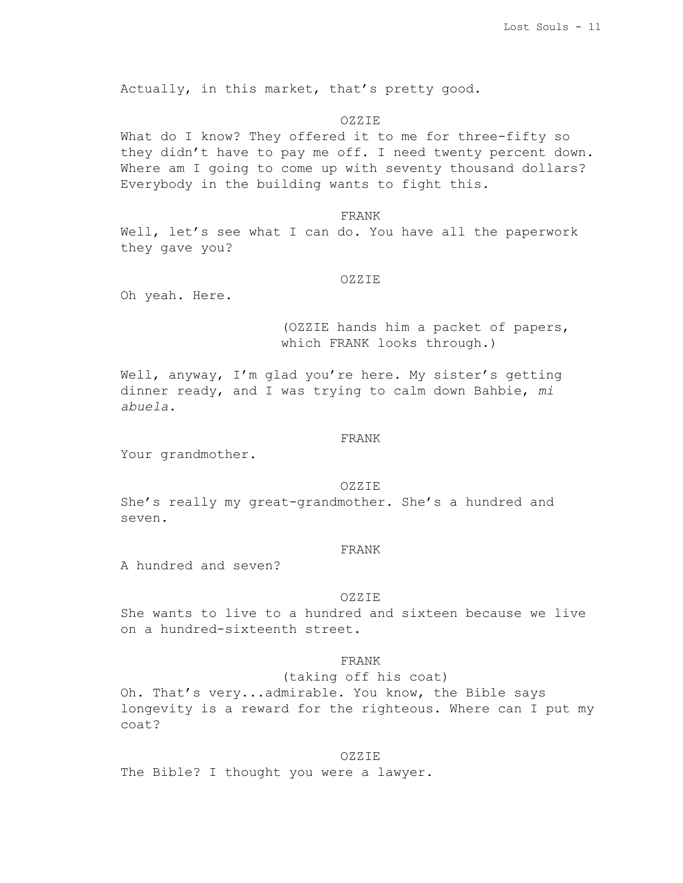Actually, in this market, that's pretty good.

#### OZZIE

What do I know? They offered it to me for three-fifty so they didn't have to pay me off. I need twenty percent down. Where am I going to come up with seventy thousand dollars? Everybody in the building wants to fight this.

# FRANK

Well, let's see what I can do. You have all the paperwork they gave you?

#### OZZIE

Oh yeah. Here.

(OZZIE hands him a packet of papers, which FRANK looks through.)

Well, anyway, I'm glad you're here. My sister's getting dinner ready, and I was trying to calm down Bahbie, *mi abuela*.

#### FRANK

Your grandmother.

### OZZIE

She's really my great-grandmother. She's a hundred and seven.

### FRANK

A hundred and seven?

#### OZZIE

She wants to live to a hundred and sixteen because we live on a hundred-sixteenth street.

# FRANK

(taking off his coat)

Oh. That's very...admirable. You know, the Bible says longevity is a reward for the righteous. Where can I put my coat?

#### OZZIE

The Bible? I thought you were a lawyer.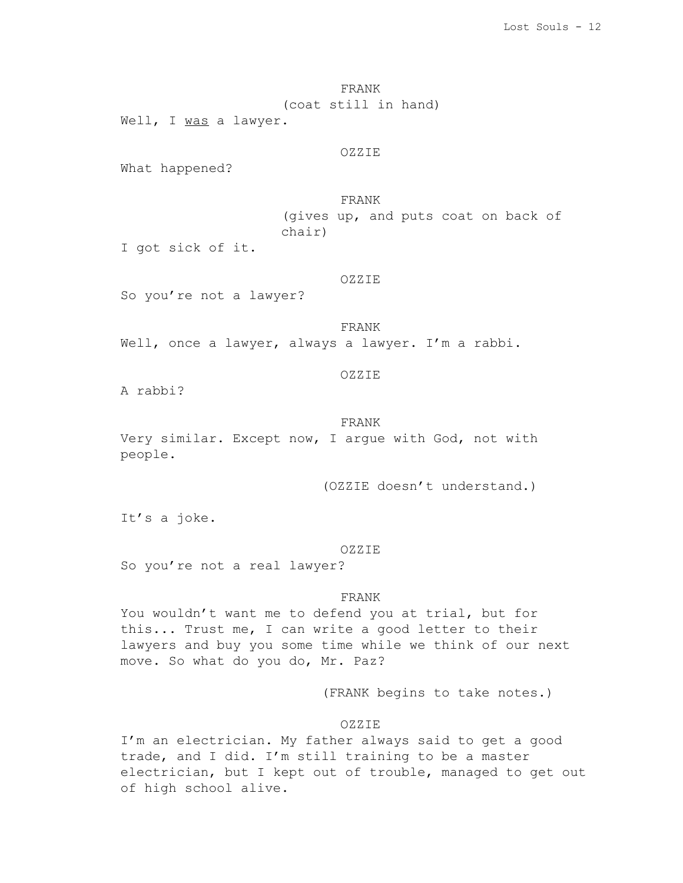FRANK (coat still in hand)

Well, I was a lawyer.

### OZZIE

What happened?

FRANK (gives up, and puts coat on back of chair)

I got sick of it.

# OZZIE

So you're not a lawyer?

FRANK

Well, once a lawyer, always a lawyer. I'm a rabbi.

# OZZIE

A rabbi?

## FRANK

Very similar. Except now, I argue with God, not with people.

(OZZIE doesn't understand.)

It's a joke.

#### OZZIE

So you're not a real lawyer?

# FRANK

You wouldn't want me to defend you at trial, but for this... Trust me, I can write a good letter to their lawyers and buy you some time while we think of our next move. So what do you do, Mr. Paz?

(FRANK begins to take notes.)

# OZZIE

I'm an electrician. My father always said to get a good trade, and I did. I'm still training to be a master electrician, but I kept out of trouble, managed to get out of high school alive.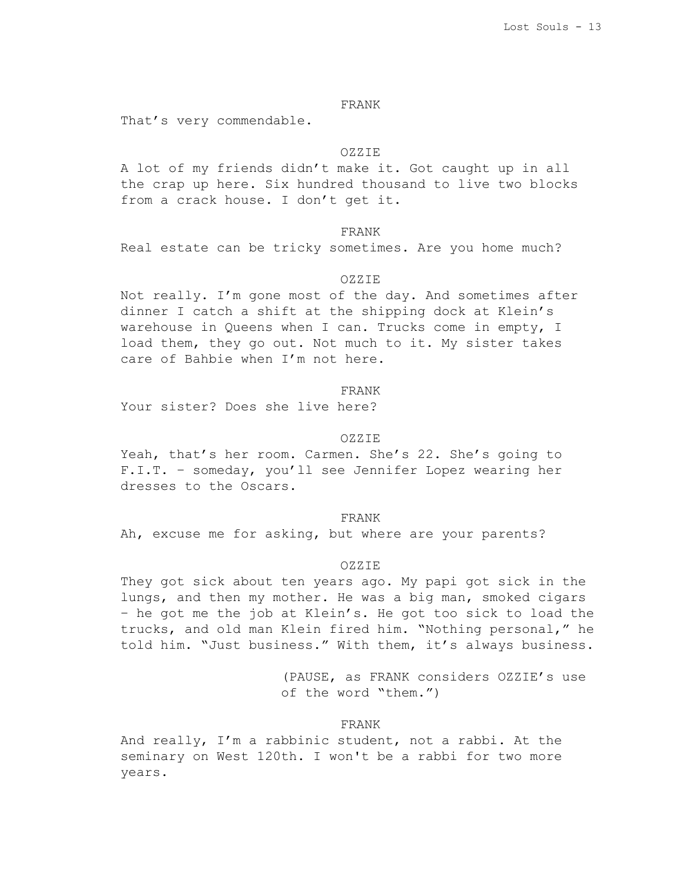# FRANK

That's very commendable.

# OZZIE

A lot of my friends didn't make it. Got caught up in all the crap up here. Six hundred thousand to live two blocks from a crack house. I don't get it.

FRANK

Real estate can be tricky sometimes. Are you home much?

#### OZZIE

Not really. I'm gone most of the day. And sometimes after dinner I catch a shift at the shipping dock at Klein's warehouse in Queens when I can. Trucks come in empty, I load them, they go out. Not much to it. My sister takes care of Bahbie when I'm not here.

#### FRANK

Your sister? Does she live here?

#### OZZIE

Yeah, that's her room. Carmen. She's 22. She's going to F.I.T. – someday, you'll see Jennifer Lopez wearing her dresses to the Oscars.

#### FRANK

Ah, excuse me for asking, but where are your parents?

# OZZIE

They got sick about ten years ago. My papi got sick in the lungs, and then my mother. He was a big man, smoked cigars – he got me the job at Klein's. He got too sick to load the trucks, and old man Klein fired him. "Nothing personal," he told him. "Just business." With them, it's always business.

> (PAUSE, as FRANK considers OZZIE's use of the word "them.")

## FRANK

And really, I'm a rabbinic student, not a rabbi. At the seminary on West 120th. I won't be a rabbi for two more years.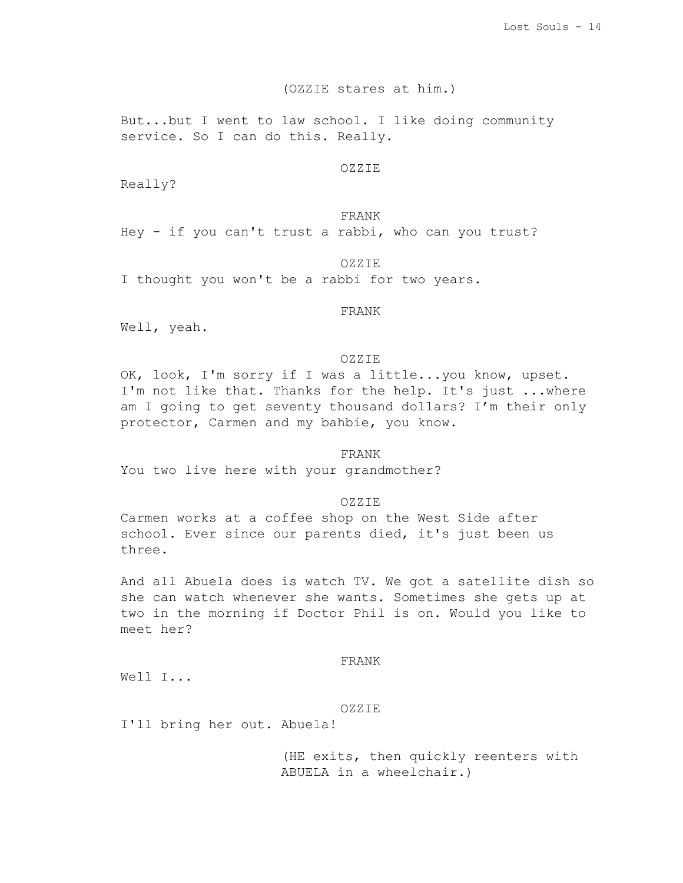# (OZZIE stares at him.)

But...but I went to law school. I like doing community service. So I can do this. Really.

### OZZIE

Really?

FRANK Hey - if you can't trust a rabbi, who can you trust?

OZZIE

I thought you won't be a rabbi for two years.

# FRANK

Well, yeah.

## OZZIE

OK, look, I'm sorry if I was a little...you know, upset. I'm not like that. Thanks for the help. It's just ...where am I going to get seventy thousand dollars? I'm their only protector, Carmen and my bahbie, you know.

# FRANK

You two live here with your grandmother?

## OZZIE

Carmen works at a coffee shop on the West Side after school. Ever since our parents died, it's just been us three.

And all Abuela does is watch TV. We got a satellite dish so she can watch whenever she wants. Sometimes she gets up at two in the morning if Doctor Phil is on. Would you like to meet her?

# FRANK

Well I...

#### OZZIE

I'll bring her out. Abuela!

(HE exits, then quickly reenters with ABUELA in a wheelchair.)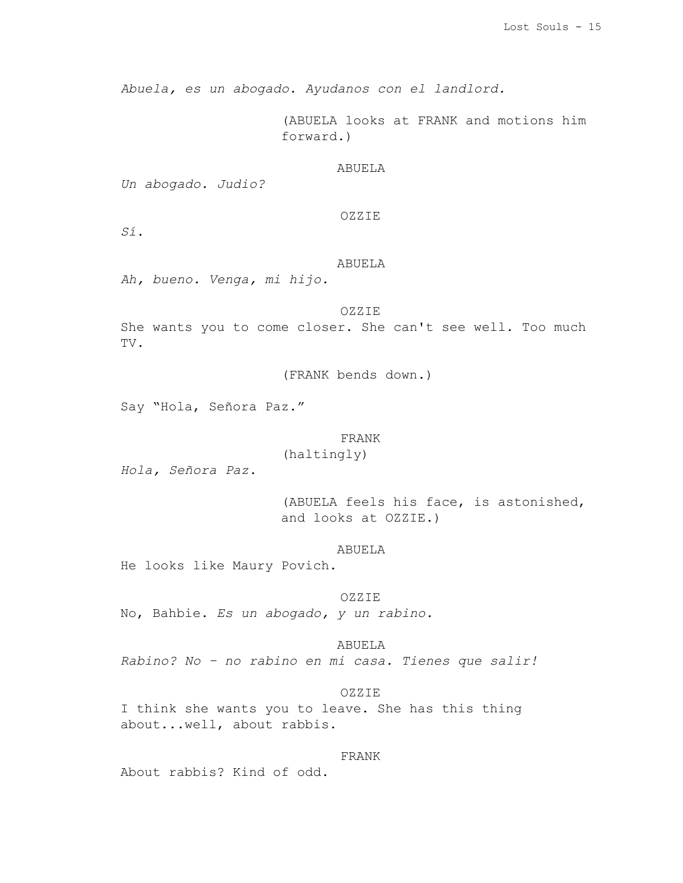*Abuela, es un abogado. Ayudanos con el landlord.*

(ABUELA looks at FRANK and motions him forward.)

# ABUELA

*Un abogado. Judio?*

# OZZIE

*Sí*.

# ABUELA

*Ah, bueno. Venga, mi hijo.*

OZZIE She wants you to come closer. She can't see well. Too much TV.

(FRANK bends down.)

Say "Hola, Señora Paz."

#### FRANK

(haltingly)

*Hola, Señora Paz.*

(ABUELA feels his face, is astonished, and looks at OZZIE.)

ABUELA

He looks like Maury Povich.

OZZIE

No, Bahbie. *Es un abogado, y un rabino.*

ABUELA *Rabino? No – no rabino en mi casa. Tienes que salir!*

OZZIE

I think she wants you to leave. She has this thing about...well, about rabbis.

FRANK

About rabbis? Kind of odd.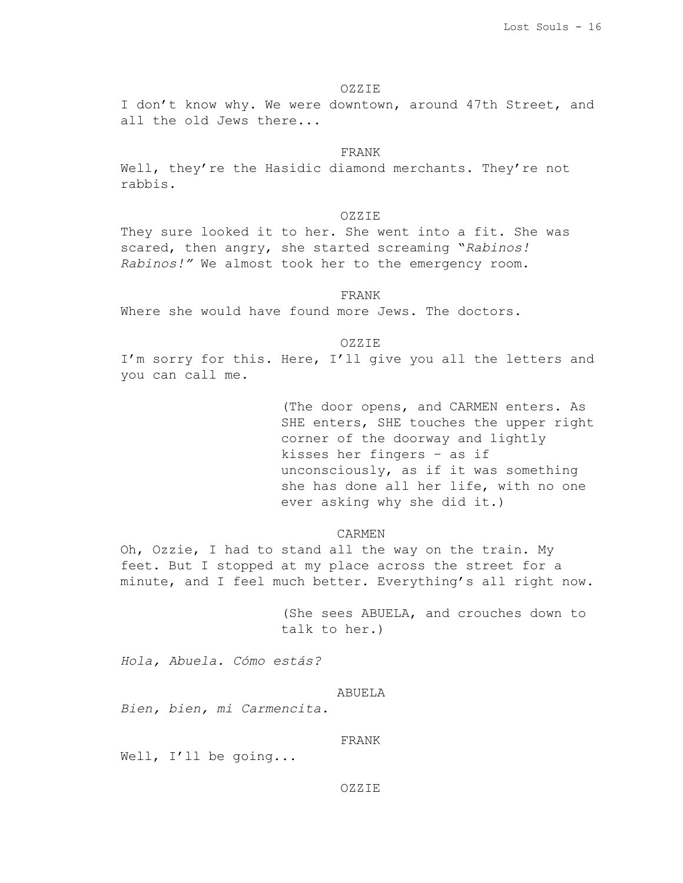### OZZIE

I don't know why. We were downtown, around 47th Street, and all the old Jews there...

### FRANK

Well, they're the Hasidic diamond merchants. They're not rabbis.

# OZZIE

They sure looked it to her. She went into a fit. She was scared, then angry, she started screaming "*Rabinos! Rabinos!"* We almost took her to the emergency room.

#### FRANK

Where she would have found more Jews. The doctors.

# OZZIE

I'm sorry for this. Here, I'll give you all the letters and you can call me.

> (The door opens, and CARMEN enters. As SHE enters, SHE touches the upper right corner of the doorway and lightly kisses her fingers – as if unconsciously, as if it was something she has done all her life, with no one ever asking why she did it.)

## CARMEN

Oh, Ozzie, I had to stand all the way on the train. My feet. But I stopped at my place across the street for a minute, and I feel much better. Everything's all right now.

> (She sees ABUELA, and crouches down to talk to her.)

*Hola, Abuela. Cómo estás?*

# ABUELA

*Bien, bien, mi Carmencita.*

FRANK

Well, I'll be going...

#### OZZIE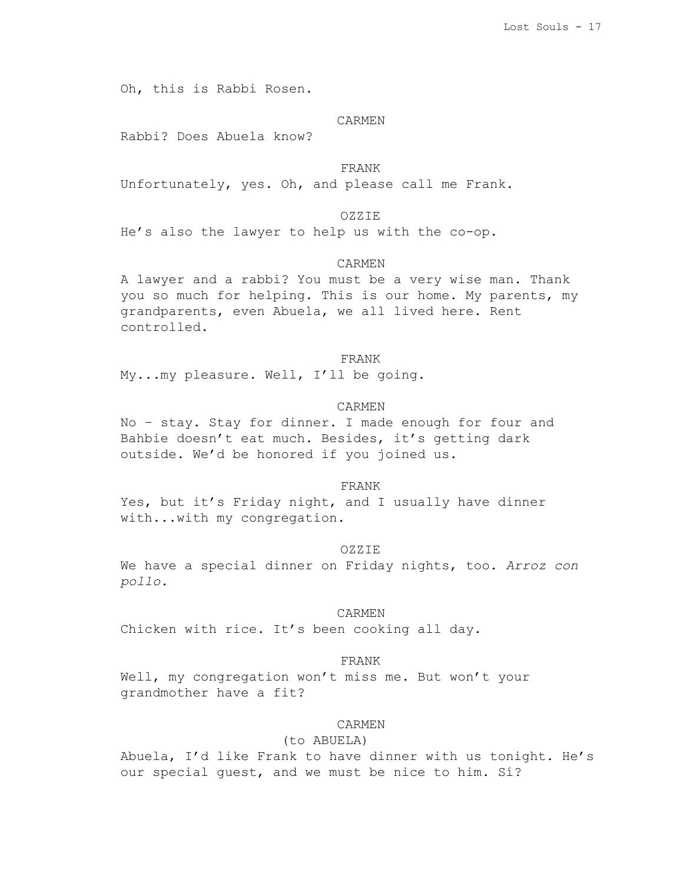Oh, this is Rabbi Rosen.

#### CARMEN

Rabbi? Does Abuela know?

FRANK

Unfortunately, yes. Oh, and please call me Frank.

# OZZIE

He's also the lawyer to help us with the co-op.

# CARMEN

A lawyer and a rabbi? You must be a very wise man. Thank you so much for helping. This is our home. My parents, my grandparents, even Abuela, we all lived here. Rent controlled.

#### FRANK

My...my pleasure. Well, I'll be going.

## CARMEN

No – stay. Stay for dinner. I made enough for four and Bahbie doesn't eat much. Besides, it's getting dark outside. We'd be honored if you joined us.

#### FRANK

Yes, but it's Friday night, and I usually have dinner with...with my congregation.

#### OZZIE

We have a special dinner on Friday nights, too. *Arroz con pollo.*

#### CARMEN

Chicken with rice. It's been cooking all day.

# FRANK

Well, my congregation won't miss me. But won't your grandmother have a fit?

# CARMEN

#### (to ABUELA)

Abuela, I'd like Frank to have dinner with us tonight. He's our special guest, and we must be nice to him. Sí?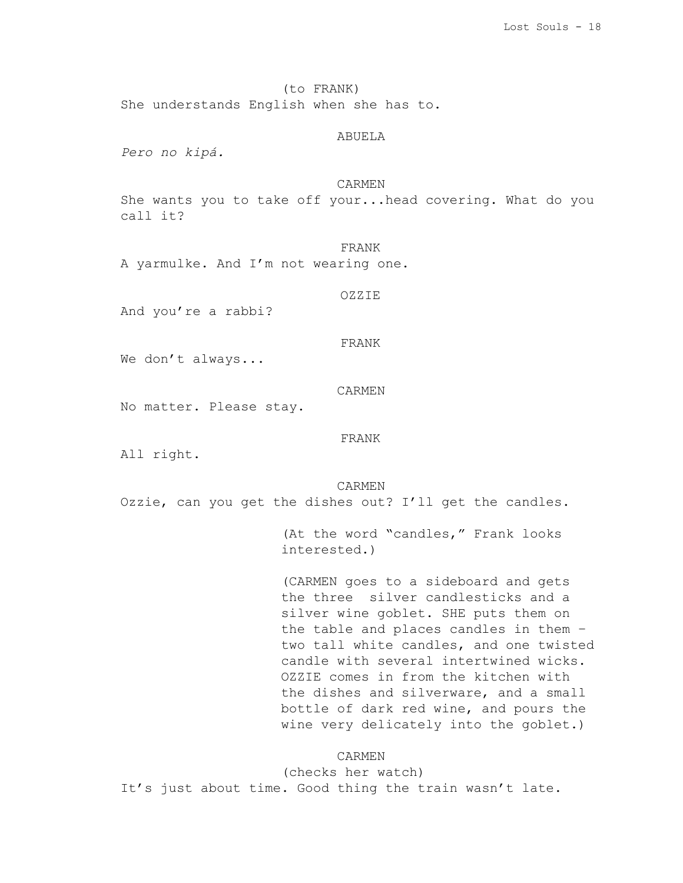(to FRANK)

She understands English when she has to.

# ABUELA

*Pero no kipá.*

# CARMEN

She wants you to take off your...head covering. What do you call it?

FRANK

A yarmulke. And I'm not wearing one.

OZZIE

And you're a rabbi?

# FRANK

We don't always...

CARMEN

No matter. Please stay.

FRANK

All right.

CARMEN

Ozzie, can you get the dishes out? I'll get the candles.

(At the word "candles," Frank looks interested.)

(CARMEN goes to a sideboard and gets the three silver candlesticks and a silver wine goblet. SHE puts them on the table and places candles in them – two tall white candles, and one twisted candle with several intertwined wicks. OZZIE comes in from the kitchen with the dishes and silverware, and a small bottle of dark red wine, and pours the wine very delicately into the goblet.)

#### CARMEN

(checks her watch) It's just about time. Good thing the train wasn't late.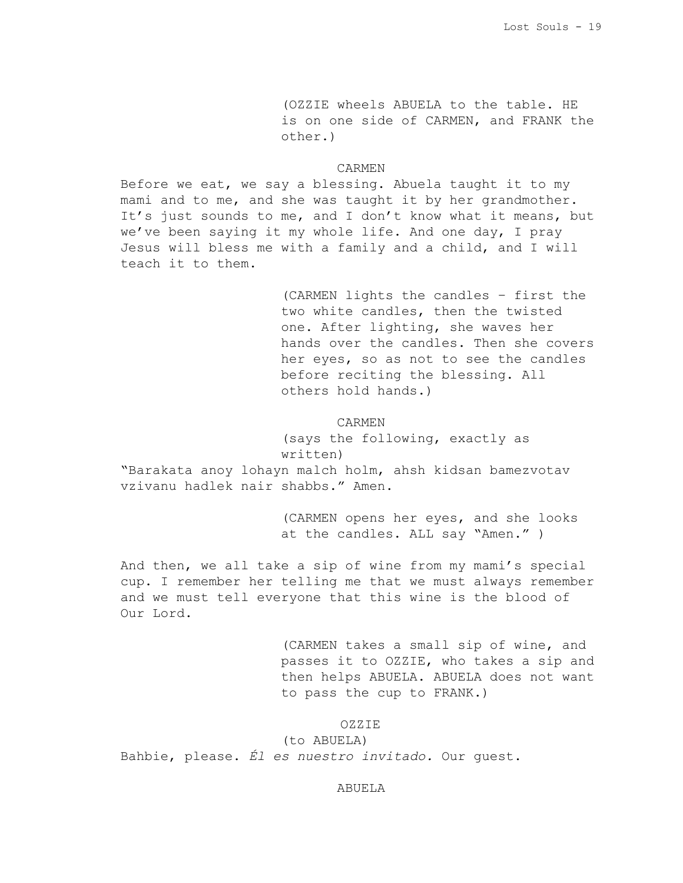(OZZIE wheels ABUELA to the table. HE is on one side of CARMEN, and FRANK the other.)

# CARMEN

Before we eat, we say a blessing. Abuela taught it to my mami and to me, and she was taught it by her grandmother. It's just sounds to me, and I don't know what it means, but we've been saying it my whole life. And one day, I pray Jesus will bless me with a family and a child, and I will teach it to them.

> (CARMEN lights the candles – first the two white candles, then the twisted one. After lighting, she waves her hands over the candles. Then she covers her eyes, so as not to see the candles before reciting the blessing. All others hold hands.)

### CARMEN

(says the following, exactly as written)

"Barakata anoy lohayn malch holm, ahsh kidsan bamezvotav vzivanu hadlek nair shabbs." Amen.

> (CARMEN opens her eyes, and she looks at the candles. ALL say "Amen." )

And then, we all take a sip of wine from my mami's special cup. I remember her telling me that we must always remember and we must tell everyone that this wine is the blood of Our Lord.

> (CARMEN takes a small sip of wine, and passes it to OZZIE, who takes a sip and then helps ABUELA. ABUELA does not want to pass the cup to FRANK.)

# OZZIE

(to ABUELA) Bahbie, please. *Él es nuestro invitado.* Our guest.

#### ABUELA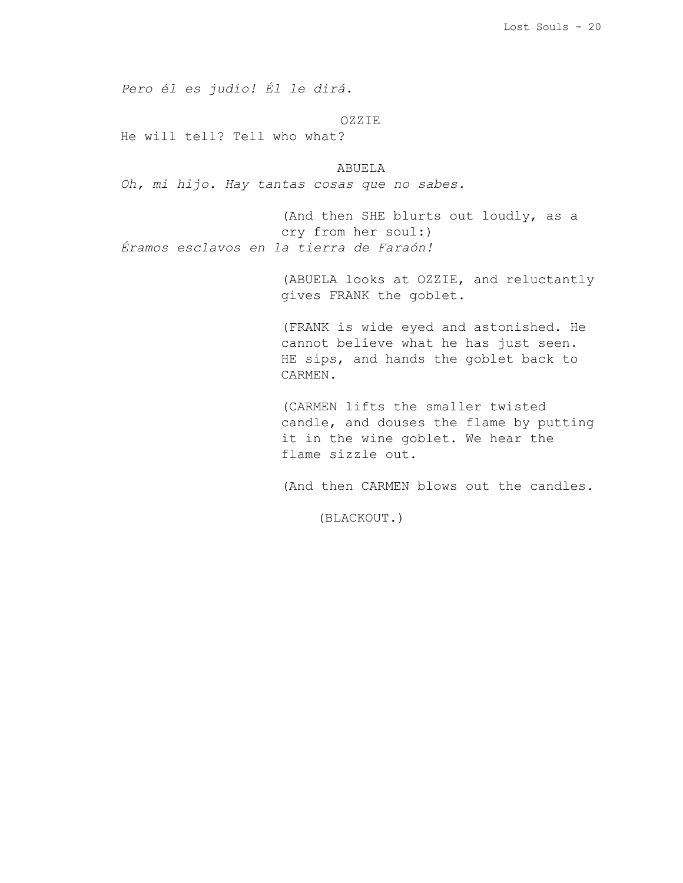*Pero él es judío! Él le dirá.*

OZZIE

He will tell? Tell who what?

ABUELA *Oh, mi hijo. Hay tantas cosas que no sabes.*

(And then SHE blurts out loudly, as a cry from her soul:) *Éramos esclavos en la tierra de Faraón!*

> (ABUELA looks at OZZIE, and reluctantly gives FRANK the goblet.

(FRANK is wide eyed and astonished. He cannot believe what he has just seen. HE sips, and hands the goblet back to CARMEN.

(CARMEN lifts the smaller twisted candle, and douses the flame by putting it in the wine goblet. We hear the flame sizzle out.

(And then CARMEN blows out the candles.

(BLACKOUT.)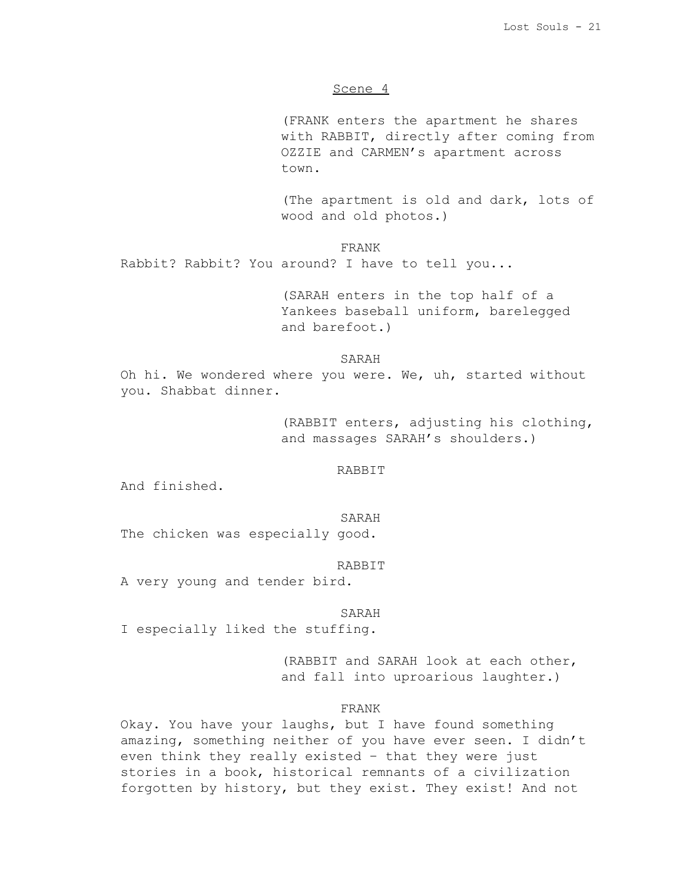### Scene 4

(FRANK enters the apartment he shares with RABBIT, directly after coming from OZZIE and CARMEN's apartment across town.

(The apartment is old and dark, lots of wood and old photos.)

FRANK

Rabbit? Rabbit? You around? I have to tell you...

(SARAH enters in the top half of a Yankees baseball uniform, barelegged and barefoot.)

### SARAH

Oh hi. We wondered where you were. We, uh, started without you. Shabbat dinner.

> (RABBIT enters, adjusting his clothing, and massages SARAH's shoulders.)

### RABBIT

And finished.

#### SARAH

The chicken was especially good.

RABBIT

A very young and tender bird.

#### SARAH

I especially liked the stuffing.

(RABBIT and SARAH look at each other, and fall into uproarious laughter.)

## FRANK

Okay. You have your laughs, but I have found something amazing, something neither of you have ever seen. I didn't even think they really existed – that they were just stories in a book, historical remnants of a civilization forgotten by history, but they exist. They exist! And not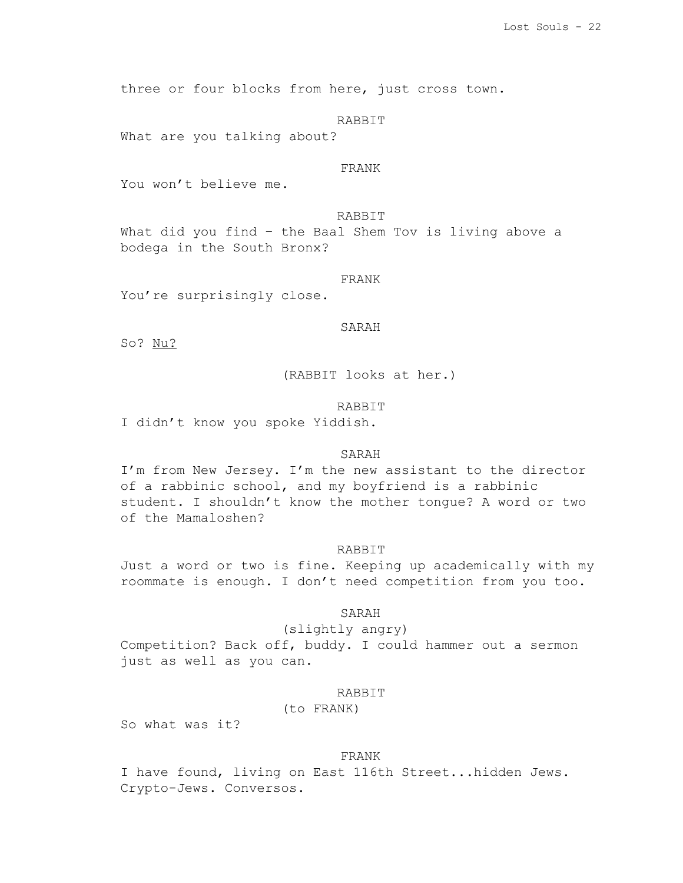three or four blocks from here, just cross town.

RABBIT

What are you talking about?

# FRANK

You won't believe me.

RABBIT

What did you find – the Baal Shem Tov is living above a bodega in the South Bronx?

### FRANK

You're surprisingly close.

### SARAH

So? Nu?

(RABBIT looks at her.)

### RABBIT

I didn't know you spoke Yiddish.

# SARAH

I'm from New Jersey. I'm the new assistant to the director of a rabbinic school, and my boyfriend is a rabbinic student. I shouldn't know the mother tongue? A word or two of the Mamaloshen?

#### RABBIT

Just a word or two is fine. Keeping up academically with my roommate is enough. I don't need competition from you too.

# SARAH

(slightly angry)

Competition? Back off, buddy. I could hammer out a sermon just as well as you can.

# RABBIT

# (to FRANK)

So what was it?

#### FRANK

I have found, living on East 116th Street...hidden Jews. Crypto-Jews. Conversos.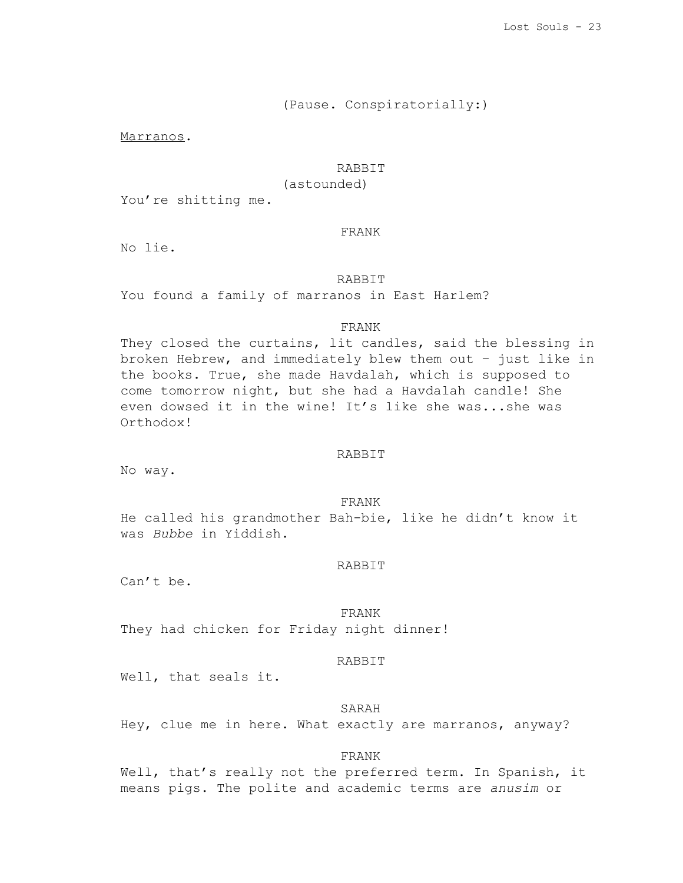# (Pause. Conspiratorially:)

Marranos.

# **RABBIT**

(astounded)

You're shitting me.

#### FRANK

No lie.

# RABBIT

You found a family of marranos in East Harlem?

# FRANK

They closed the curtains, lit candles, said the blessing in broken Hebrew, and immediately blew them out – just like in the books. True, she made Havdalah, which is supposed to come tomorrow night, but she had a Havdalah candle! She even dowsed it in the wine! It's like she was...she was Orthodox!

# RABBIT

No way.

FRANK He called his grandmother Bah-bie, like he didn't know it was *Bubbe* in Yiddish.

### RABBIT

Can't be.

## FRANK

They had chicken for Friday night dinner!

# RABBIT

Well, that seals it.

#### SARAH

Hey, clue me in here. What exactly are marranos, anyway?

### FRANK

Well, that's really not the preferred term. In Spanish, it means pigs. The polite and academic terms are *anusim* or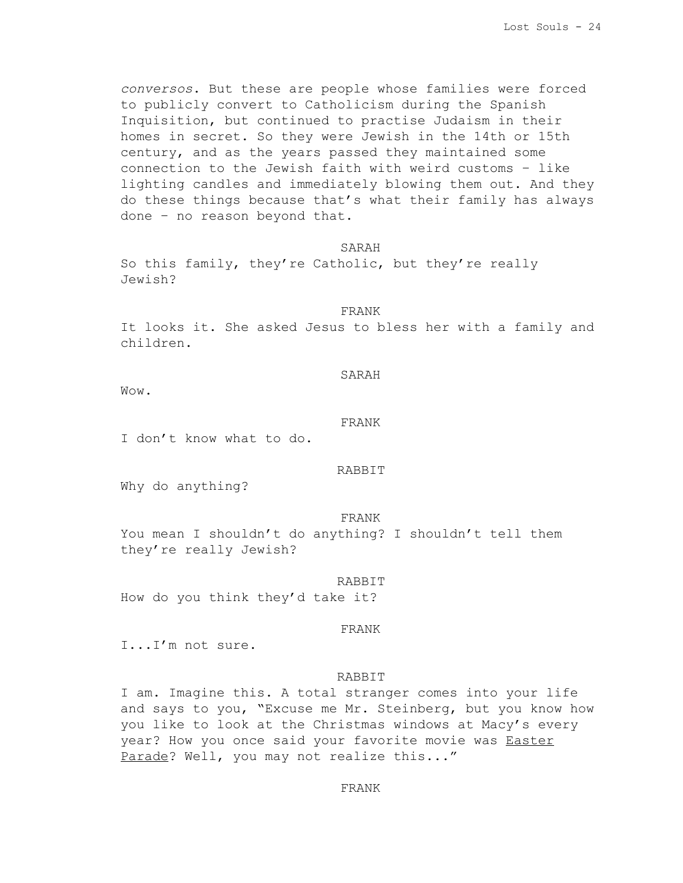*conversos*. But these are people whose families were forced to publicly convert to Catholicism during the Spanish Inquisition, but continued to practise Judaism in their homes in secret. So they were Jewish in the 14th or 15th century, and as the years passed they maintained some connection to the Jewish faith with weird customs – like lighting candles and immediately blowing them out. And they do these things because that's what their family has always done – no reason beyond that.

SARAH

So this family, they're Catholic, but they're really Jewish?

#### FRANK

It looks it. She asked Jesus to bless her with a family and children.

SARAH

Wow.

### FRANK

I don't know what to do.

### RABBIT

Why do anything?

FRANK

You mean I shouldn't do anything? I shouldn't tell them they're really Jewish?

RABBIT

How do you think they'd take it?

#### FRANK

I...I'm not sure.

### RABBIT

I am. Imagine this. A total stranger comes into your life and says to you, "Excuse me Mr. Steinberg, but you know how you like to look at the Christmas windows at Macy's every year? How you once said your favorite movie was **Easter** Parade? Well, you may not realize this..."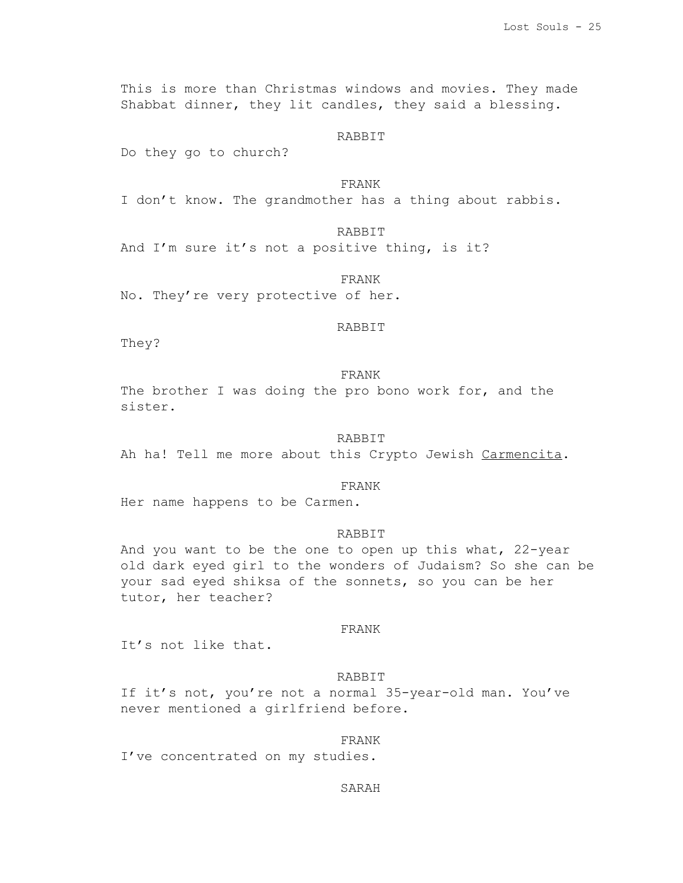This is more than Christmas windows and movies. They made Shabbat dinner, they lit candles, they said a blessing.

# RABBIT

Do they go to church?

# FRANK

I don't know. The grandmother has a thing about rabbis.

# RABBIT

And I'm sure it's not a positive thing, is it?

### FRANK

No. They're very protective of her.

### RABBIT

They?

# FRANK

The brother I was doing the pro bono work for, and the sister.

#### RABBIT

Ah ha! Tell me more about this Crypto Jewish Carmencita.

#### FRANK

Her name happens to be Carmen.

# RABBIT

And you want to be the one to open up this what, 22-year old dark eyed girl to the wonders of Judaism? So she can be your sad eyed shiksa of the sonnets, so you can be her tutor, her teacher?

## FRANK

It's not like that.

### RABBIT

If it's not, you're not a normal 35-year-old man. You've never mentioned a girlfriend before.

#### FRANK

I've concentrated on my studies.

#### SARAH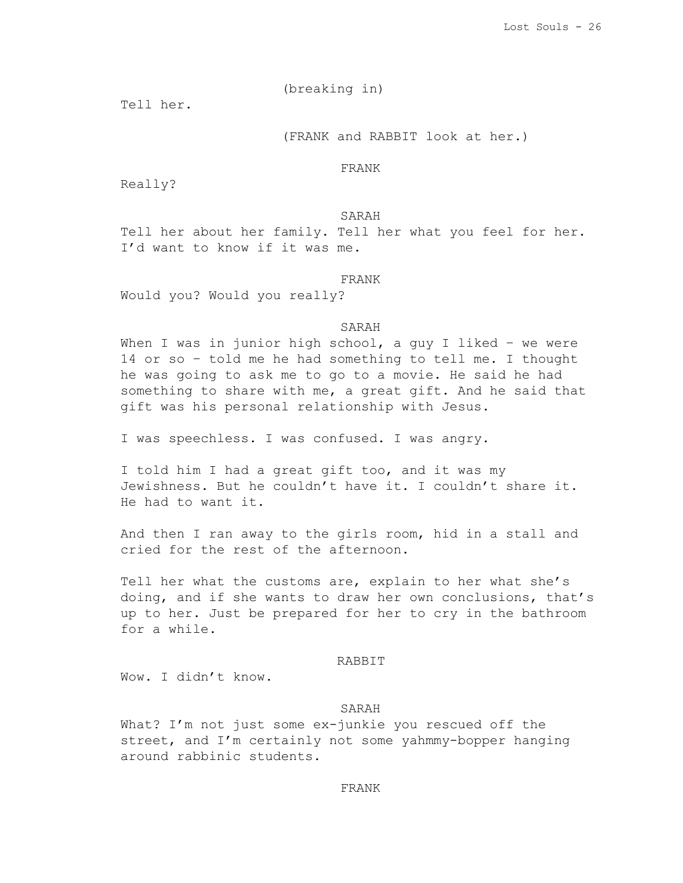(breaking in)

Tell her.

# (FRANK and RABBIT look at her.)

FRANK

Really?

SARAH

Tell her about her family. Tell her what you feel for her. I'd want to know if it was me.

#### FRANK

Would you? Would you really?

# SARAH

When I was in junior high school, a guy I liked - we were 14 or so – told me he had something to tell me. I thought he was going to ask me to go to a movie. He said he had something to share with me, a great gift. And he said that gift was his personal relationship with Jesus.

I was speechless. I was confused. I was angry.

I told him I had a great gift too, and it was my Jewishness. But he couldn't have it. I couldn't share it. He had to want it.

And then I ran away to the girls room, hid in a stall and cried for the rest of the afternoon.

Tell her what the customs are, explain to her what she's doing, and if she wants to draw her own conclusions, that's up to her. Just be prepared for her to cry in the bathroom for a while.

# RABBIT

Wow. I didn't know.

# SARAH

What? I'm not just some ex-junkie you rescued off the street, and I'm certainly not some yahmmy-bopper hanging around rabbinic students.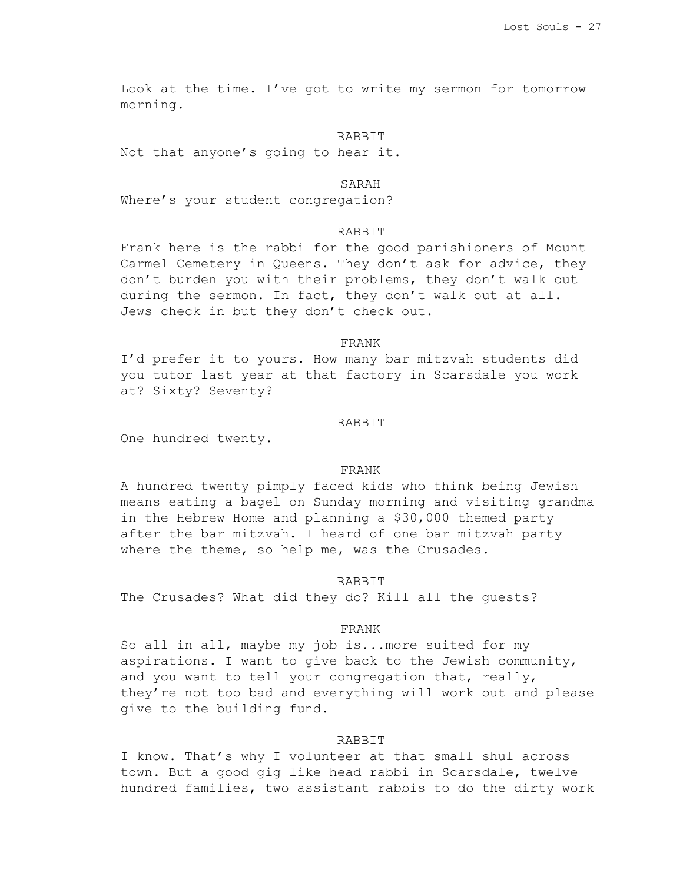Look at the time. I've got to write my sermon for tomorrow morning.

### RABBIT

Not that anyone's going to hear it.

### SARAH

Where's your student congregation?

# RABBIT

Frank here is the rabbi for the good parishioners of Mount Carmel Cemetery in Queens. They don't ask for advice, they don't burden you with their problems, they don't walk out during the sermon. In fact, they don't walk out at all. Jews check in but they don't check out.

# FRANK

I'd prefer it to yours. How many bar mitzvah students did you tutor last year at that factory in Scarsdale you work at? Sixty? Seventy?

### RABBIT

One hundred twenty.

### FRANK

A hundred twenty pimply faced kids who think being Jewish means eating a bagel on Sunday morning and visiting grandma in the Hebrew Home and planning a \$30,000 themed party after the bar mitzvah. I heard of one bar mitzvah party where the theme, so help me, was the Crusades.

#### RABBIT

The Crusades? What did they do? Kill all the guests?

### FRANK

So all in all, maybe my job is...more suited for my aspirations. I want to give back to the Jewish community, and you want to tell your congregation that, really, they're not too bad and everything will work out and please give to the building fund.

### RABBIT

I know. That's why I volunteer at that small shul across town. But a good gig like head rabbi in Scarsdale, twelve hundred families, two assistant rabbis to do the dirty work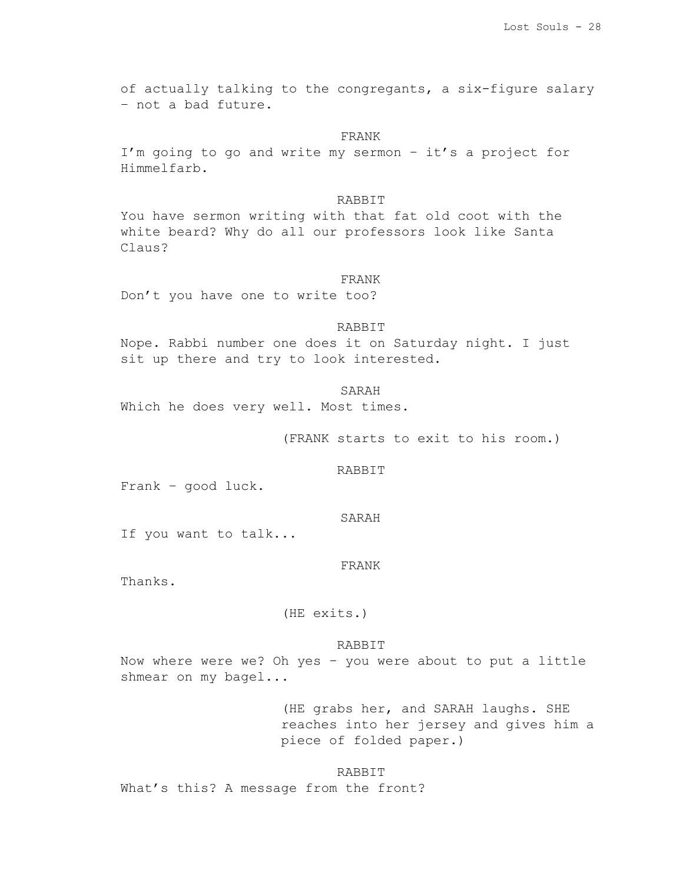of actually talking to the congregants, a six-figure salary – not a bad future.

### FRANK

I'm going to go and write my sermon – it's a project for Himmelfarb.

#### RABBIT

You have sermon writing with that fat old coot with the white beard? Why do all our professors look like Santa Claus?

#### FRANK

Don't you have one to write too?

## RABBIT

Nope. Rabbi number one does it on Saturday night. I just sit up there and try to look interested.

SARAH Which he does very well. Most times.

(FRANK starts to exit to his room.)

RABBIT

Frank – good luck.

### SARAH

If you want to talk...

FRANK

Thanks.

(HE exits.)

# RABBIT

Now where were we? Oh yes - you were about to put a little shmear on my bagel...

> (HE grabs her, and SARAH laughs. SHE reaches into her jersey and gives him a piece of folded paper.)

**RABBIT** What's this? A message from the front?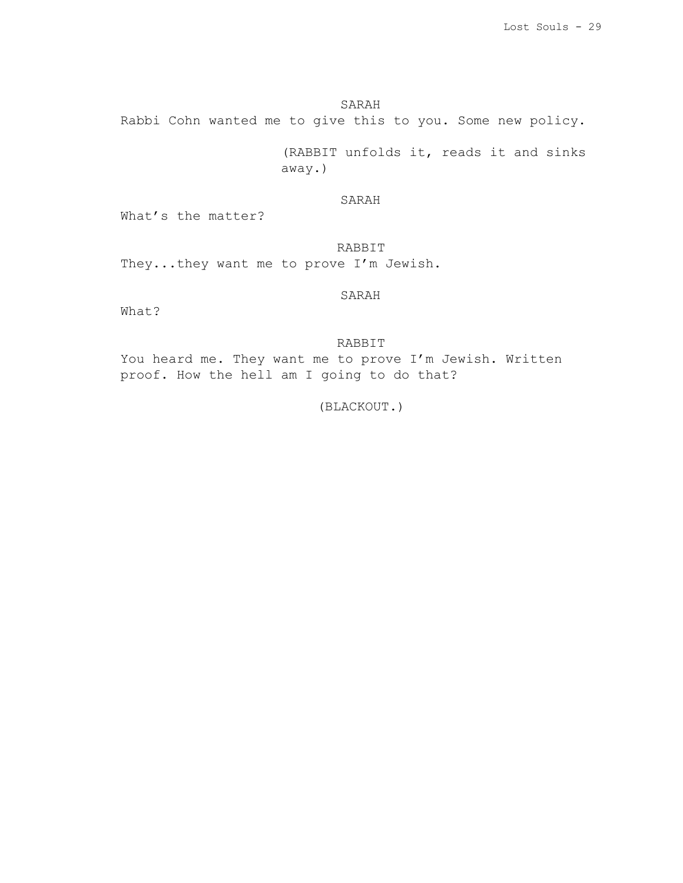# SARAH

Rabbi Cohn wanted me to give this to you. Some new policy.

(RABBIT unfolds it, reads it and sinks away.)

# SARAH

What's the matter?

# RABBIT

They...they want me to prove I'm Jewish.

SARAH

What?

# RABBIT

You heard me. They want me to prove I'm Jewish. Written proof. How the hell am I going to do that?

(BLACKOUT.)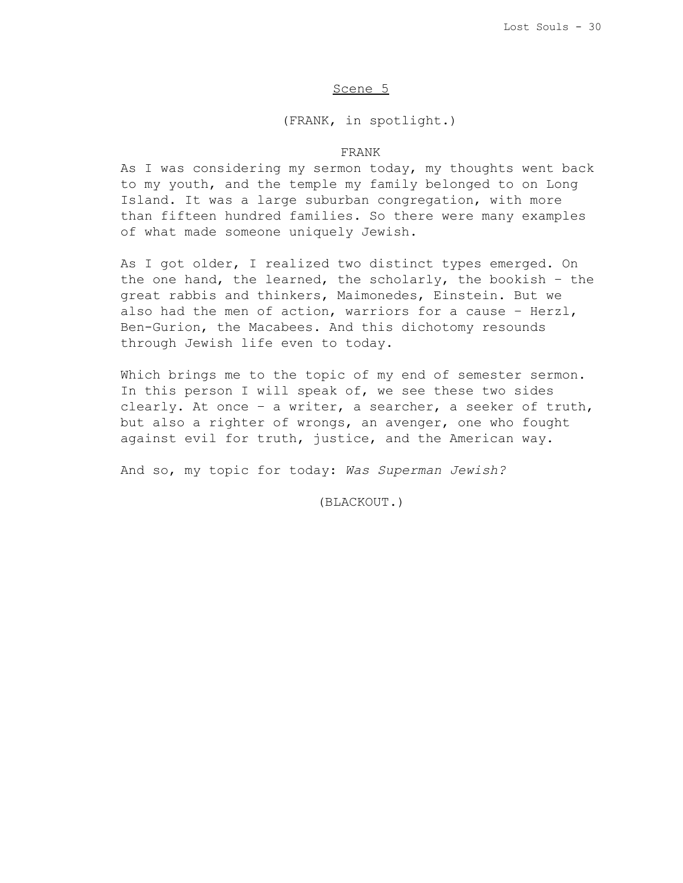# Scene 5

(FRANK, in spotlight.)

# FRANK

As I was considering my sermon today, my thoughts went back to my youth, and the temple my family belonged to on Long Island. It was a large suburban congregation, with more than fifteen hundred families. So there were many examples of what made someone uniquely Jewish.

As I got older, I realized two distinct types emerged. On the one hand, the learned, the scholarly, the bookish – the great rabbis and thinkers, Maimonedes, Einstein. But we also had the men of action, warriors for a cause – Herzl, Ben-Gurion, the Macabees. And this dichotomy resounds through Jewish life even to today.

Which brings me to the topic of my end of semester sermon. In this person I will speak of, we see these two sides clearly. At once – a writer, a searcher, a seeker of truth, but also a righter of wrongs, an avenger, one who fought against evil for truth, justice, and the American way.

And so, my topic for today: *Was Superman Jewish?*

(BLACKOUT.)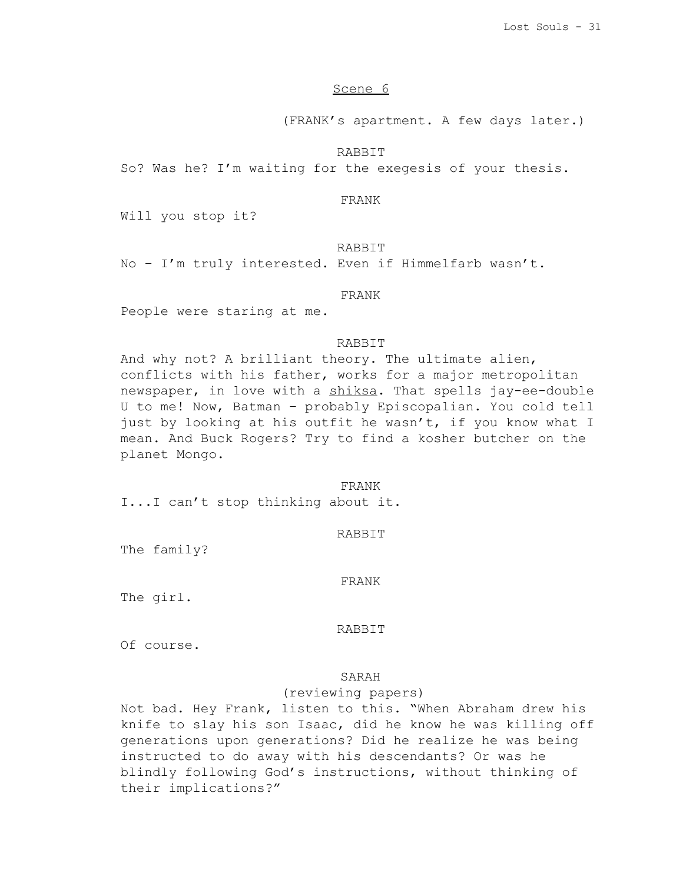# Scene 6

(FRANK's apartment. A few days later.)

### RABBIT

So? Was he? I'm waiting for the exegesis of your thesis.

## FRANK

Will you stop it?

# **RABBIT**

No – I'm truly interested. Even if Himmelfarb wasn't.

### FRANK

People were staring at me.

# RABBIT

And why not? A brilliant theory. The ultimate alien, conflicts with his father, works for a major metropolitan newspaper, in love with a shiksa. That spells jay-ee-double U to me! Now, Batman – probably Episcopalian. You cold tell just by looking at his outfit he wasn't, if you know what I mean. And Buck Rogers? Try to find a kosher butcher on the planet Mongo.

#### FRANK

I...I can't stop thinking about it.

### RABBIT

The family?

# FRANK

The girl.

### RABBIT

Of course.

# SARAH

# (reviewing papers)

Not bad. Hey Frank, listen to this. "When Abraham drew his knife to slay his son Isaac, did he know he was killing off generations upon generations? Did he realize he was being instructed to do away with his descendants? Or was he blindly following God's instructions, without thinking of their implications?"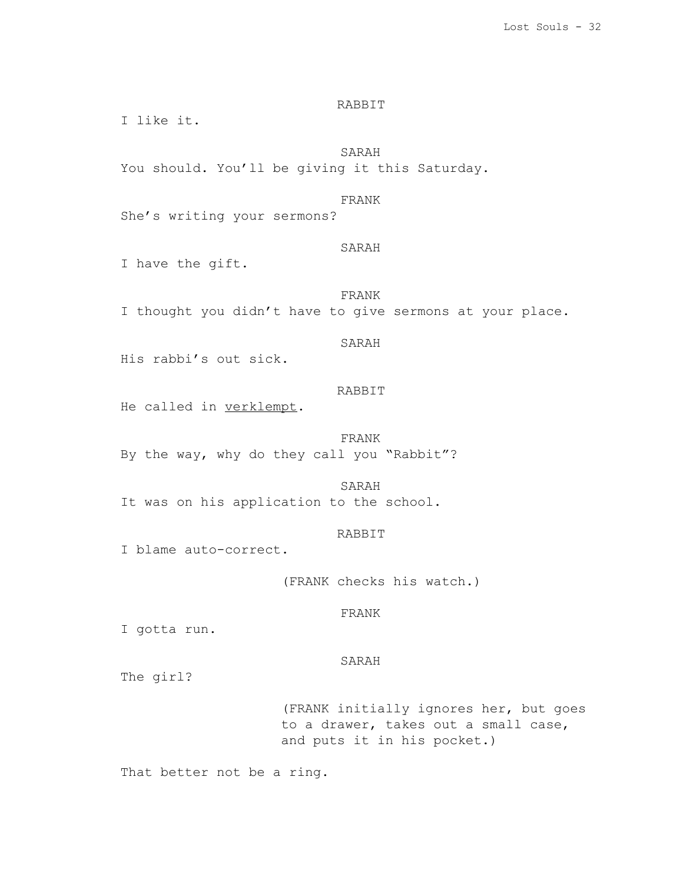You should. You'll be giving it this Saturday. FRANK She's writing your sermons? SARAH I have the gift. FRANK I thought you didn't have to give sermons at your place. SARAH His rabbi's out sick. RABBIT

RABBIT

SARAH

He called in verklempt.

FRANK By the way, why do they call you "Rabbit"?

SARAH

It was on his application to the school.

RABBIT

I blame auto-correct.

(FRANK checks his watch.)

# FRANK

I gotta run.

I like it.

#### SARAH

The girl?

(FRANK initially ignores her, but goes to a drawer, takes out a small case, and puts it in his pocket.)

That better not be a ring.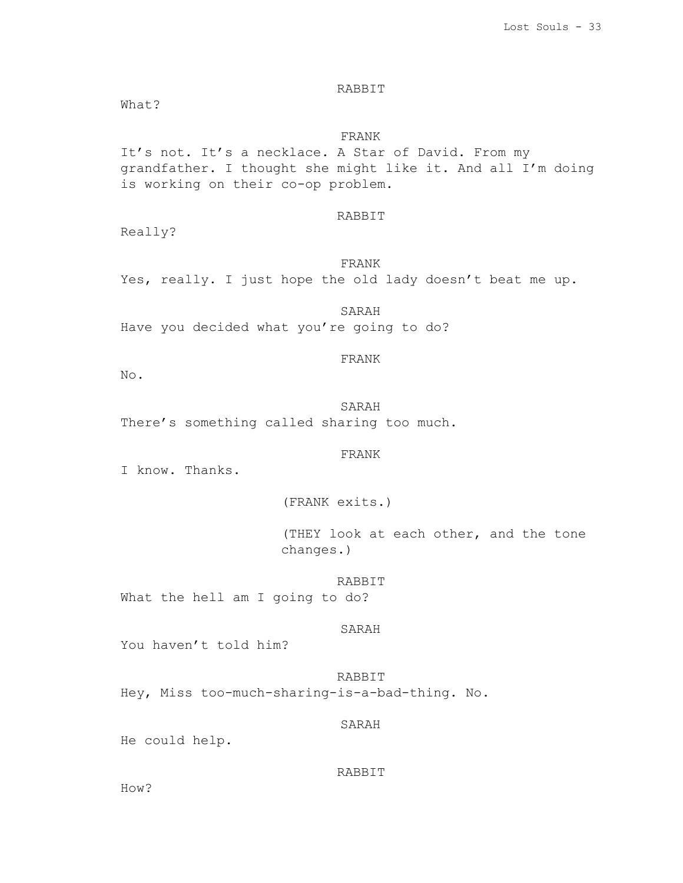# RABBIT

What?

FRANK It's not. It's a necklace. A Star of David. From my grandfather. I thought she might like it. And all I'm doing is working on their co-op problem.

# RABBIT

Really?

FRANK Yes, really. I just hope the old lady doesn't beat me up.

SARAH Have you decided what you're going to do?

# FRANK

No.

SARAH There's something called sharing too much.

# FRANK

I know. Thanks.

(FRANK exits.)

(THEY look at each other, and the tone changes.)

RABBIT What the hell am I going to do?

## SARAH

You haven't told him?

RABBIT Hey, Miss too-much-sharing-is-a-bad-thing. No.

SARAH

He could help.

# RABBIT

How?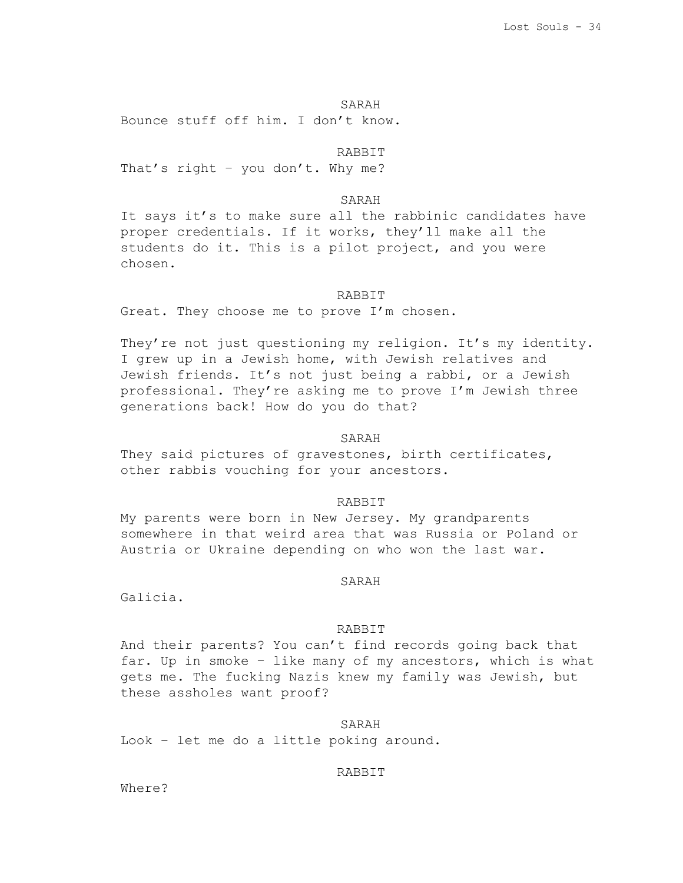SARAH Bounce stuff off him. I don't know.

RABBIT

That's right – you don't. Why me?

SARAH

It says it's to make sure all the rabbinic candidates have proper credentials. If it works, they'll make all the students do it. This is a pilot project, and you were chosen.

## RABBIT

Great. They choose me to prove I'm chosen.

They're not just questioning my religion. It's my identity. I grew up in a Jewish home, with Jewish relatives and Jewish friends. It's not just being a rabbi, or a Jewish professional. They're asking me to prove I'm Jewish three generations back! How do you do that?

#### SARAH

They said pictures of gravestones, birth certificates, other rabbis vouching for your ancestors.

#### RABBIT

My parents were born in New Jersey. My grandparents somewhere in that weird area that was Russia or Poland or Austria or Ukraine depending on who won the last war.

### SARAH

Galicia.

### RABBIT

And their parents? You can't find records going back that far. Up in smoke – like many of my ancestors, which is what gets me. The fucking Nazis knew my family was Jewish, but these assholes want proof?

### SARAH

Look – let me do a little poking around.

# RABBIT

Where?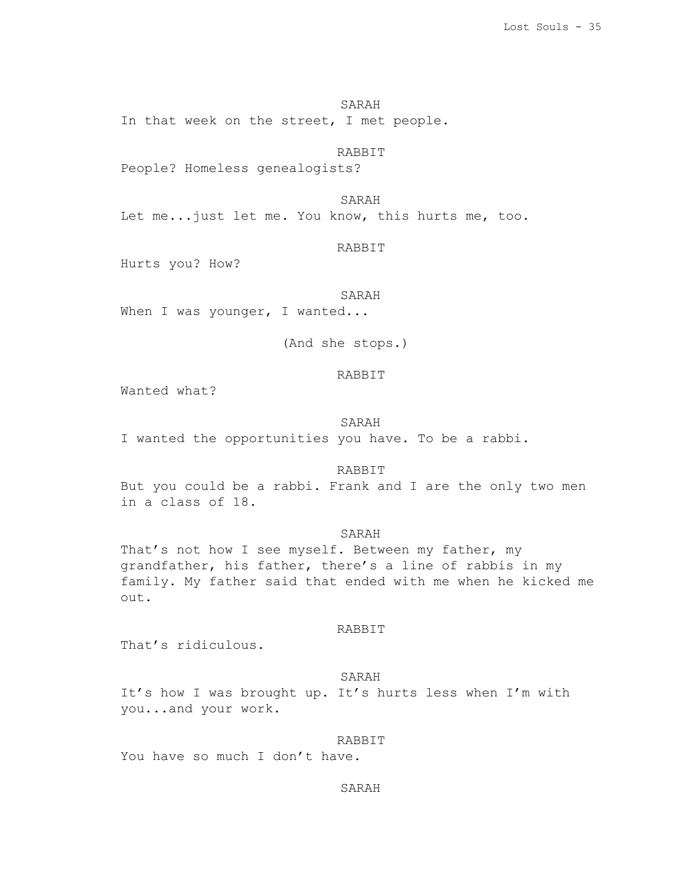SARAH In that week on the street, I met people.

RABBIT

People? Homeless genealogists?

SARAH Let me...just let me. You know, this hurts me, too.

### RABBIT

Hurts you? How?

# SARAH

When I was younger, I wanted...

(And she stops.)

# RABBIT

Wanted what?

## SARAH

I wanted the opportunities you have. To be a rabbi.

# RABBIT

But you could be a rabbi. Frank and I are the only two men in a class of 18.

## SARAH

That's not how I see myself. Between my father, my grandfather, his father, there's a line of rabbis in my family. My father said that ended with me when he kicked me out.

## RABBIT

That's ridiculous.

### SARAH

It's how I was brought up. It's hurts less when I'm with you...and your work.

### RABBIT

You have so much I don't have.

# SARAH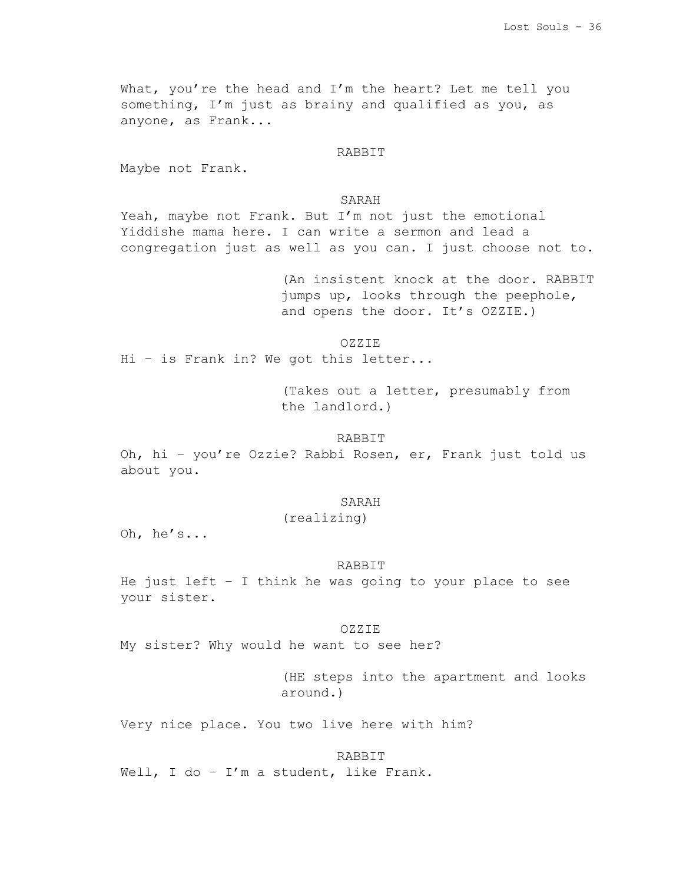What, you're the head and I'm the heart? Let me tell you something, I'm just as brainy and qualified as you, as anyone, as Frank...

#### RABBIT

Maybe not Frank.

#### SARAH

Yeah, maybe not Frank. But I'm not just the emotional Yiddishe mama here. I can write a sermon and lead a congregation just as well as you can. I just choose not to.

> (An insistent knock at the door. RABBIT jumps up, looks through the peephole, and opens the door. It's OZZIE.)

> > OZZIE

Hi – is Frank in? We got this letter...

(Takes out a letter, presumably from the landlord.)

# RABBIT

Oh, hi – you're Ozzie? Rabbi Rosen, er, Frank just told us about you.

#### SARAH

### (realizing)

Oh, he's...

#### RABBIT

He just left – I think he was going to your place to see your sister.

## OZZIE

My sister? Why would he want to see her?

(HE steps into the apartment and looks around.)

Very nice place. You two live here with him?

#### RABBIT

Well, I do - I'm a student, like Frank.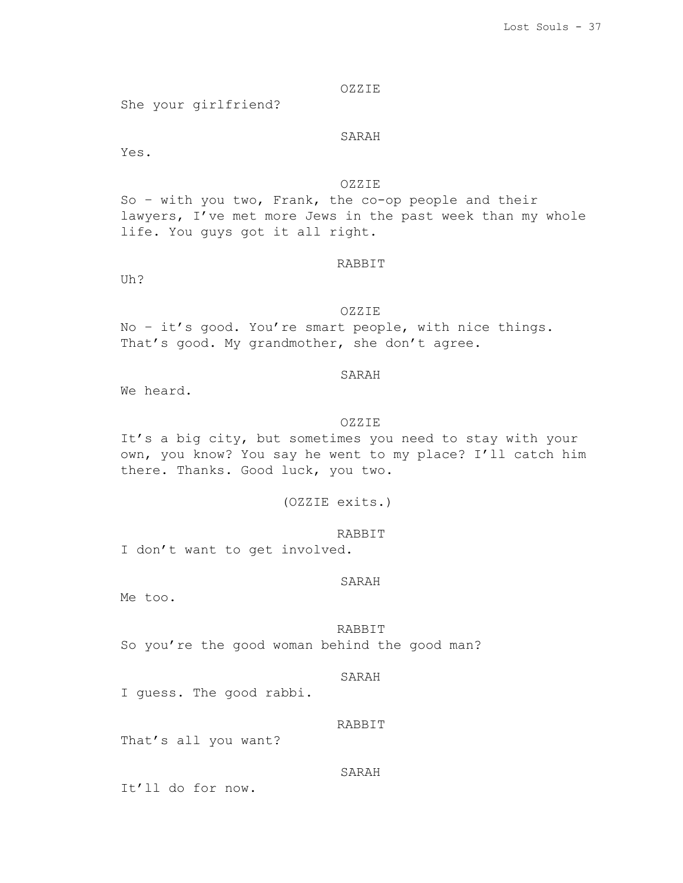# OZZIE

She your girlfriend?

# SARAH

Yes.

# OZZIE

So – with you two, Frank, the co-op people and their lawyers, I've met more Jews in the past week than my whole life. You guys got it all right.

# RABBIT

Uh?

# OZZIE

No – it's good. You're smart people, with nice things. That's good. My grandmother, she don't agree.

# SARAH

We heard.

## OZZIE

It's a big city, but sometimes you need to stay with your own, you know? You say he went to my place? I'll catch him there. Thanks. Good luck, you two.

(OZZIE exits.)

I don't want to get involved.

# SARAH

RABBIT

Me too.

RABBIT So you're the good woman behind the good man?

#### SARAH

I guess. The good rabbi.

# RABBIT

That's all you want?

# SARAH

It'll do for now.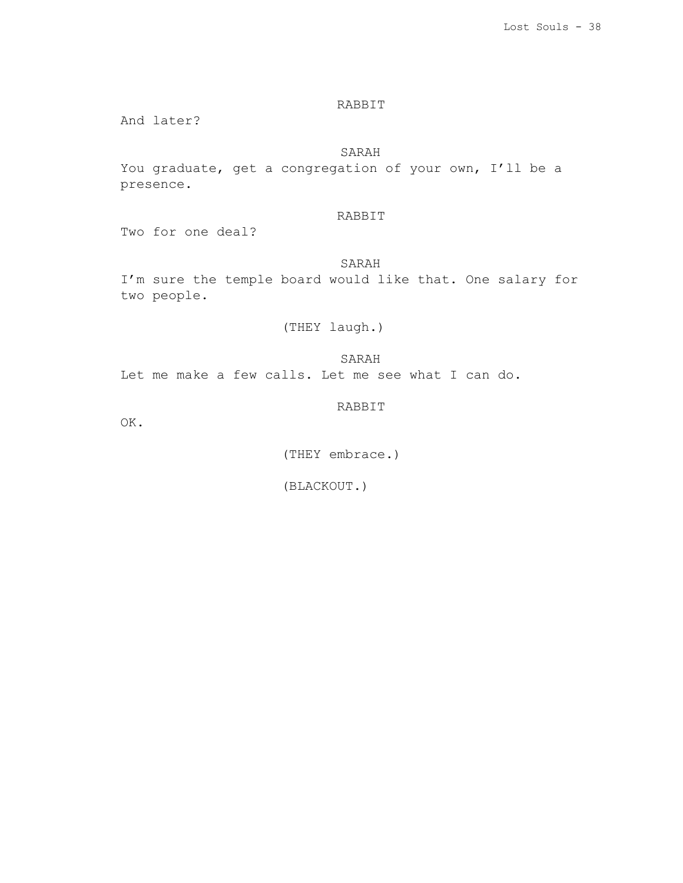# RABBIT

And later?

# SARAH

You graduate, get a congregation of your own, I'll be a presence.

# RABBIT

Two for one deal?

# SARAH

I'm sure the temple board would like that. One salary for two people.

# (THEY laugh.)

Let me make a few calls. Let me see what I can do.

# RABBIT

SARAH

OK.

(THEY embrace.)

(BLACKOUT.)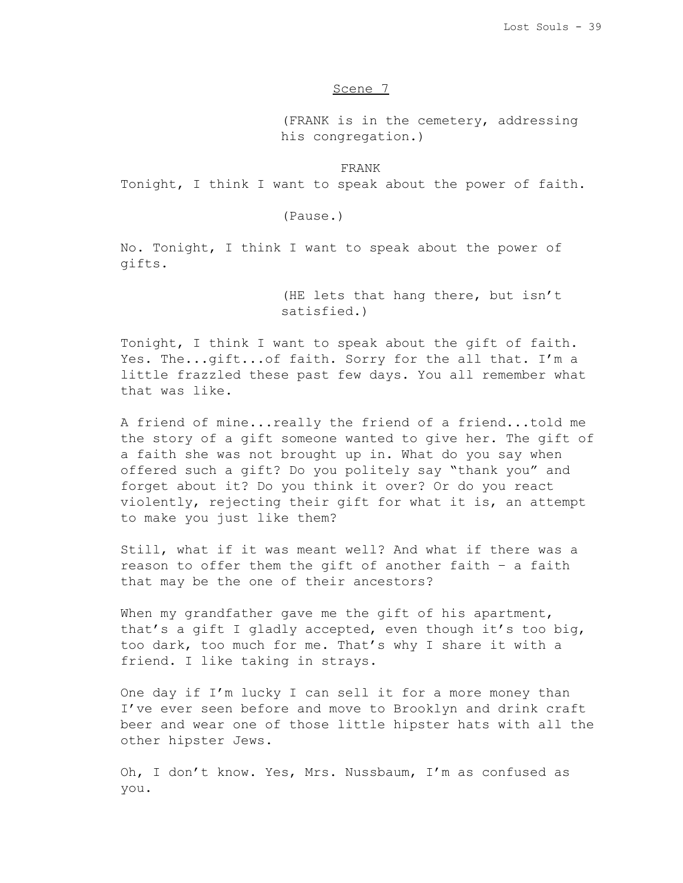# Scene 7

(FRANK is in the cemetery, addressing his congregation.)

FRANK

Tonight, I think I want to speak about the power of faith.

(Pause.)

No. Tonight, I think I want to speak about the power of gifts.

> (HE lets that hang there, but isn't satisfied.)

Tonight, I think I want to speak about the gift of faith. Yes. The...gift...of faith. Sorry for the all that. I'm a little frazzled these past few days. You all remember what that was like.

A friend of mine...really the friend of a friend...told me the story of a gift someone wanted to give her. The gift of a faith she was not brought up in. What do you say when offered such a gift? Do you politely say "thank you" and forget about it? Do you think it over? Or do you react violently, rejecting their gift for what it is, an attempt to make you just like them?

Still, what if it was meant well? And what if there was a reason to offer them the gift of another faith – a faith that may be the one of their ancestors?

When my grandfather gave me the gift of his apartment, that's a gift I gladly accepted, even though it's too big, too dark, too much for me. That's why I share it with a friend. I like taking in strays.

One day if I'm lucky I can sell it for a more money than I've ever seen before and move to Brooklyn and drink craft beer and wear one of those little hipster hats with all the other hipster Jews.

Oh, I don't know. Yes, Mrs. Nussbaum, I'm as confused as you.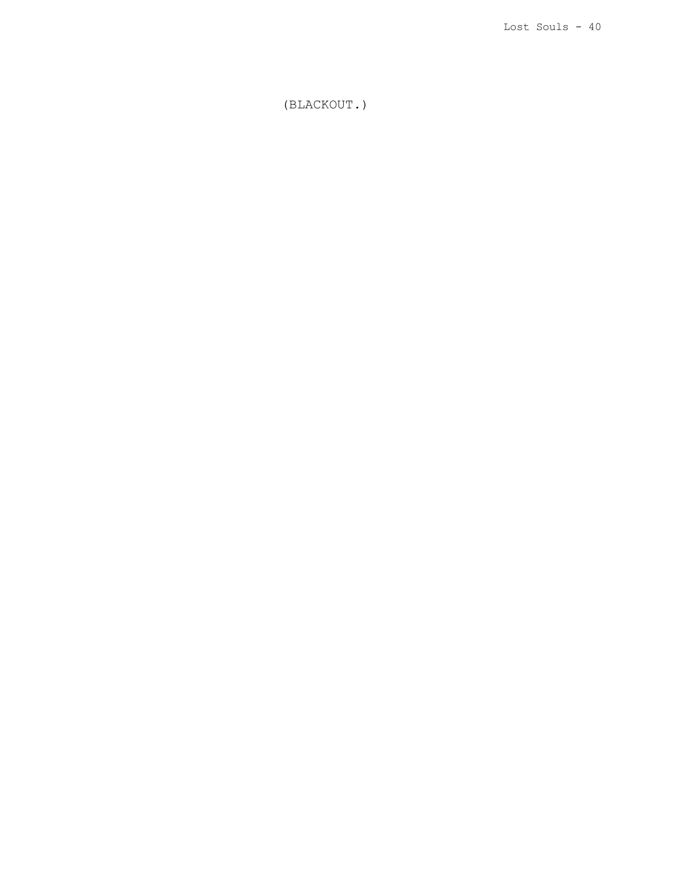(BLACKOUT.)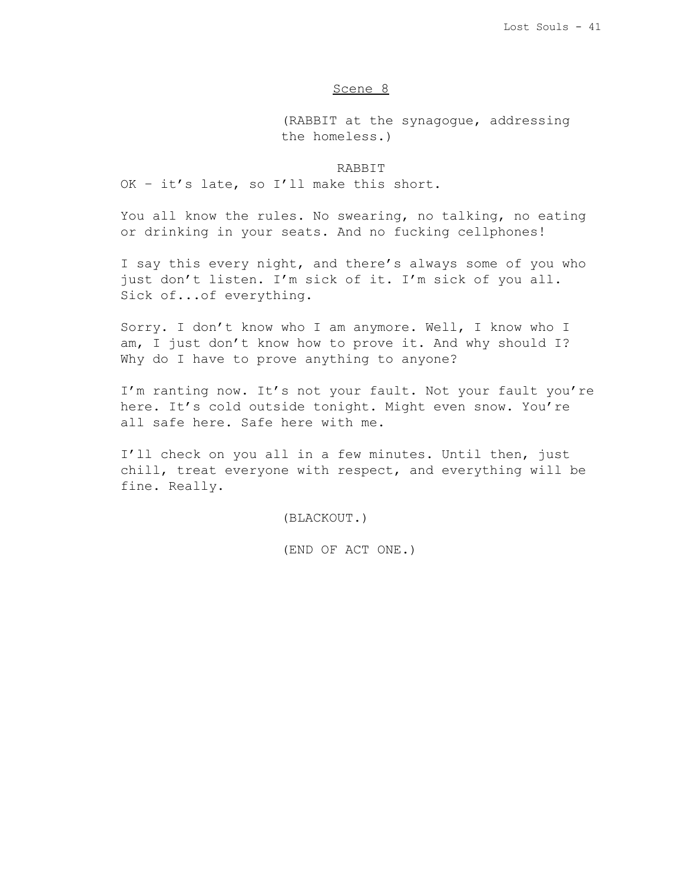# Scene 8

(RABBIT at the synagogue, addressing the homeless.)

# RABBIT

OK – it's late, so I'll make this short.

You all know the rules. No swearing, no talking, no eating or drinking in your seats. And no fucking cellphones!

I say this every night, and there's always some of you who just don't listen. I'm sick of it. I'm sick of you all. Sick of...of everything.

Sorry. I don't know who I am anymore. Well, I know who I am, I just don't know how to prove it. And why should I? Why do I have to prove anything to anyone?

I'm ranting now. It's not your fault. Not your fault you're here. It's cold outside tonight. Might even snow. You're all safe here. Safe here with me.

I'll check on you all in a few minutes. Until then, just chill, treat everyone with respect, and everything will be fine. Really.

(BLACKOUT.)

(END OF ACT ONE.)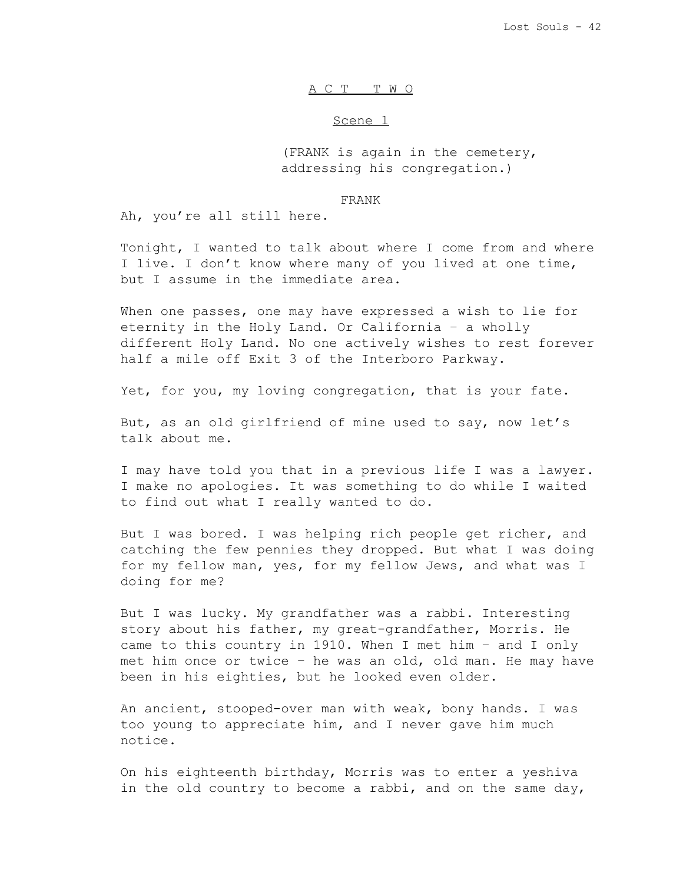# A C T T W O

#### Scene 1

(FRANK is again in the cemetery, addressing his congregation.)

#### FRANK

Ah, you're all still here.

Tonight, I wanted to talk about where I come from and where I live. I don't know where many of you lived at one time, but I assume in the immediate area.

When one passes, one may have expressed a wish to lie for eternity in the Holy Land. Or California – a wholly different Holy Land. No one actively wishes to rest forever half a mile off Exit 3 of the Interboro Parkway.

Yet, for you, my loving congregation, that is your fate.

But, as an old girlfriend of mine used to say, now let's talk about me.

I may have told you that in a previous life I was a lawyer. I make no apologies. It was something to do while I waited to find out what I really wanted to do.

But I was bored. I was helping rich people get richer, and catching the few pennies they dropped. But what I was doing for my fellow man, yes, for my fellow Jews, and what was I doing for me?

But I was lucky. My grandfather was a rabbi. Interesting story about his father, my great-grandfather, Morris. He came to this country in 1910. When I met him – and I only met him once or twice – he was an old, old man. He may have been in his eighties, but he looked even older.

An ancient, stooped-over man with weak, bony hands. I was too young to appreciate him, and I never gave him much notice.

On his eighteenth birthday, Morris was to enter a yeshiva in the old country to become a rabbi, and on the same day,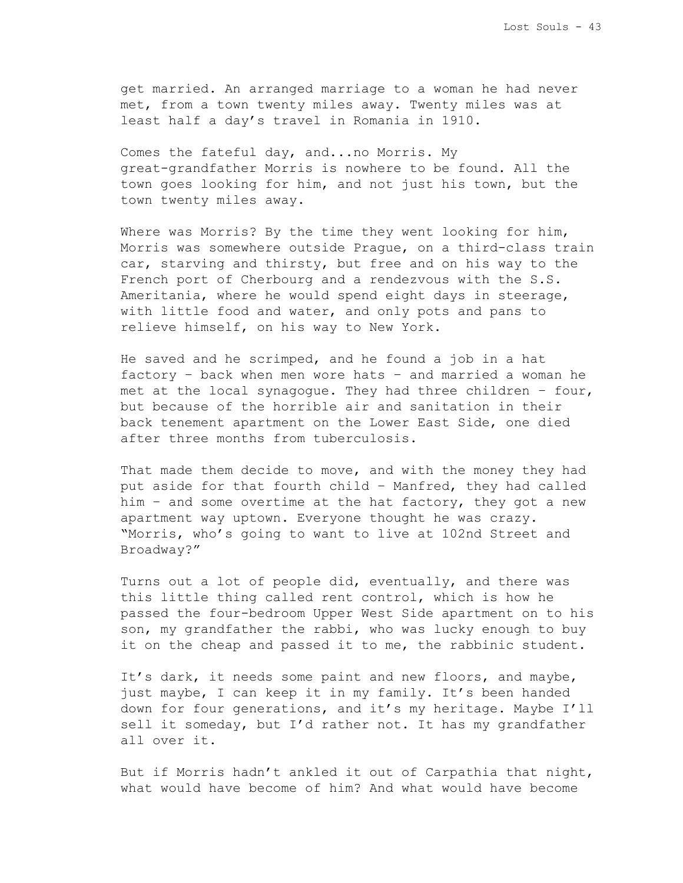get married. An arranged marriage to a woman he had never met, from a town twenty miles away. Twenty miles was at least half a day's travel in Romania in 1910.

Comes the fateful day, and...no Morris. My great-grandfather Morris is nowhere to be found. All the town goes looking for him, and not just his town, but the town twenty miles away.

Where was Morris? By the time they went looking for him, Morris was somewhere outside Prague, on a third-class train car, starving and thirsty, but free and on his way to the French port of Cherbourg and a rendezvous with the S.S. Ameritania, where he would spend eight days in steerage, with little food and water, and only pots and pans to relieve himself, on his way to New York.

He saved and he scrimped, and he found a job in a hat factory – back when men wore hats – and married a woman he met at the local synagogue. They had three children – four, but because of the horrible air and sanitation in their back tenement apartment on the Lower East Side, one died after three months from tuberculosis.

That made them decide to move, and with the money they had put aside for that fourth child – Manfred, they had called him – and some overtime at the hat factory, they got a new apartment way uptown. Everyone thought he was crazy. "Morris, who's going to want to live at 102nd Street and Broadway?"

Turns out a lot of people did, eventually, and there was this little thing called rent control, which is how he passed the four-bedroom Upper West Side apartment on to his son, my grandfather the rabbi, who was lucky enough to buy it on the cheap and passed it to me, the rabbinic student.

It's dark, it needs some paint and new floors, and maybe, just maybe, I can keep it in my family. It's been handed down for four generations, and it's my heritage. Maybe I'll sell it someday, but I'd rather not. It has my grandfather all over it.

But if Morris hadn't ankled it out of Carpathia that night, what would have become of him? And what would have become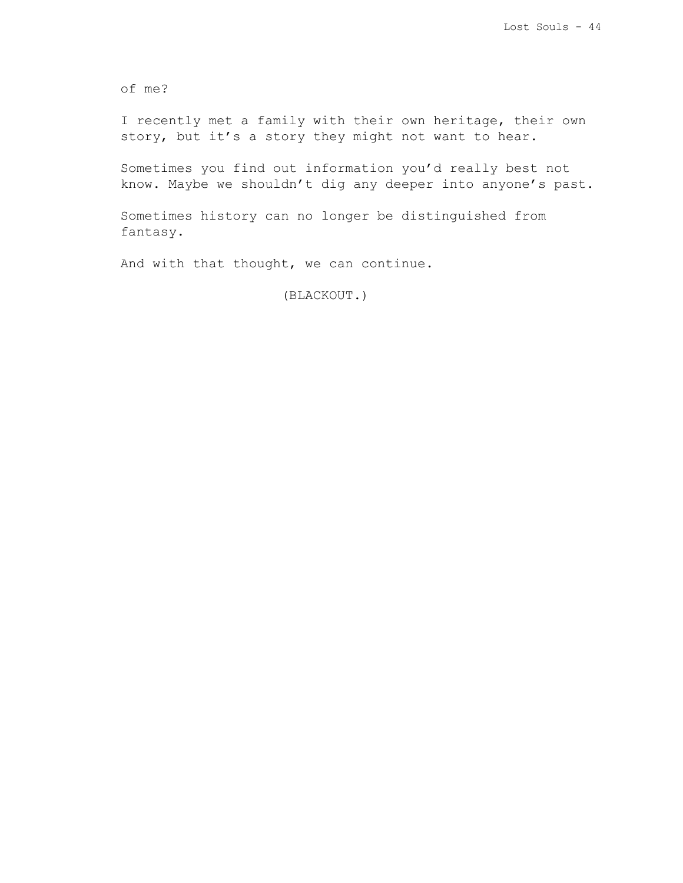of me?

I recently met a family with their own heritage, their own story, but it's a story they might not want to hear.

Sometimes you find out information you'd really best not know. Maybe we shouldn't dig any deeper into anyone's past.

Sometimes history can no longer be distinguished from fantasy.

And with that thought, we can continue.

(BLACKOUT.)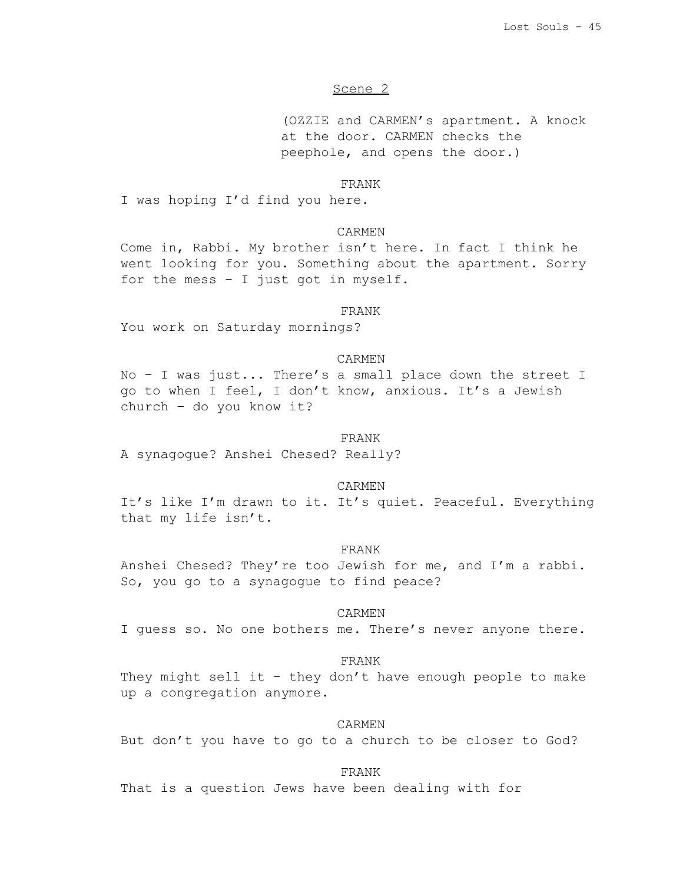# Scene 2

(OZZIE and CARMEN's apartment. A knock at the door. CARMEN checks the peephole, and opens the door.)

#### FRANK

I was hoping I'd find you here.

# CARMEN

Come in, Rabbi. My brother isn't here. In fact I think he went looking for you. Something about the apartment. Sorry for the mess – I just got in myself.

### FRANK

You work on Saturday mornings?

# CARMEN

No – I was just... There's a small place down the street I go to when I feel, I don't know, anxious. It's a Jewish church – do you know it?

#### FRANK

A synagogue? Anshei Chesed? Really?

### CARMEN

It's like I'm drawn to it. It's quiet. Peaceful. Everything that my life isn't.

#### FRANK

Anshei Chesed? They're too Jewish for me, and I'm a rabbi. So, you go to a synagogue to find peace?

# CARMEN

I guess so. No one bothers me. There's never anyone there.

### FRANK

They might sell it - they don't have enough people to make up a congregation anymore.

## CARMEN

But don't you have to go to a church to be closer to God?

FRANK

That is a question Jews have been dealing with for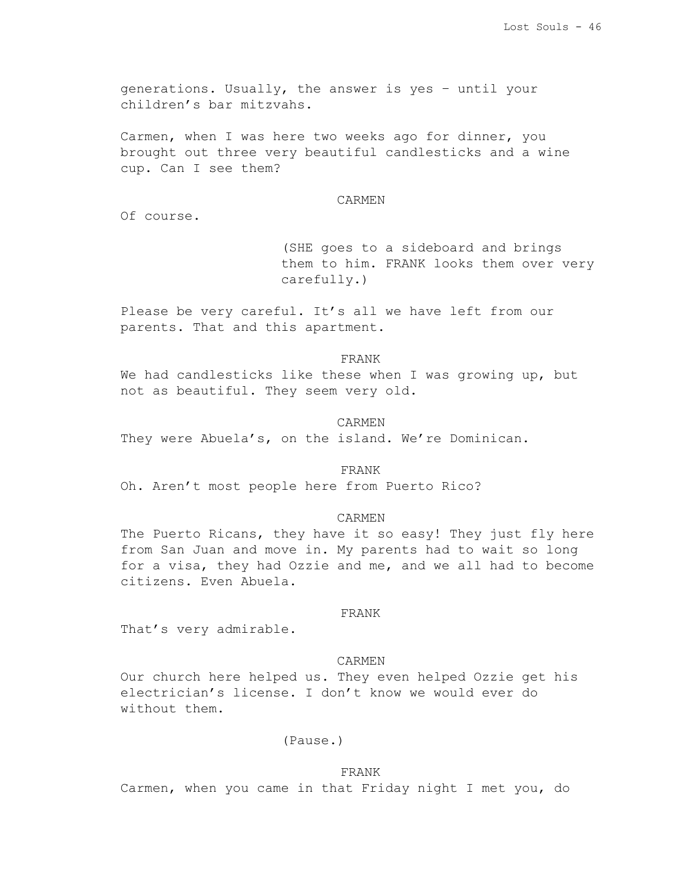generations. Usually, the answer is yes – until your children's bar mitzvahs.

Carmen, when I was here two weeks ago for dinner, you brought out three very beautiful candlesticks and a wine cup. Can I see them?

#### CARMEN

Of course.

(SHE goes to a sideboard and brings them to him. FRANK looks them over very carefully.)

Please be very careful. It's all we have left from our parents. That and this apartment.

#### FRANK

We had candlesticks like these when I was growing up, but not as beautiful. They seem very old.

#### CARMEN

They were Abuela's, on the island. We're Dominican.

#### FRANK

Oh. Aren't most people here from Puerto Rico?

### CARMEN

The Puerto Ricans, they have it so easy! They just fly here from San Juan and move in. My parents had to wait so long for a visa, they had Ozzie and me, and we all had to become citizens. Even Abuela.

## FRANK

That's very admirable.

### CARMEN

Our church here helped us. They even helped Ozzie get his electrician's license. I don't know we would ever do without them.

# (Pause.)

# FRANK

Carmen, when you came in that Friday night I met you, do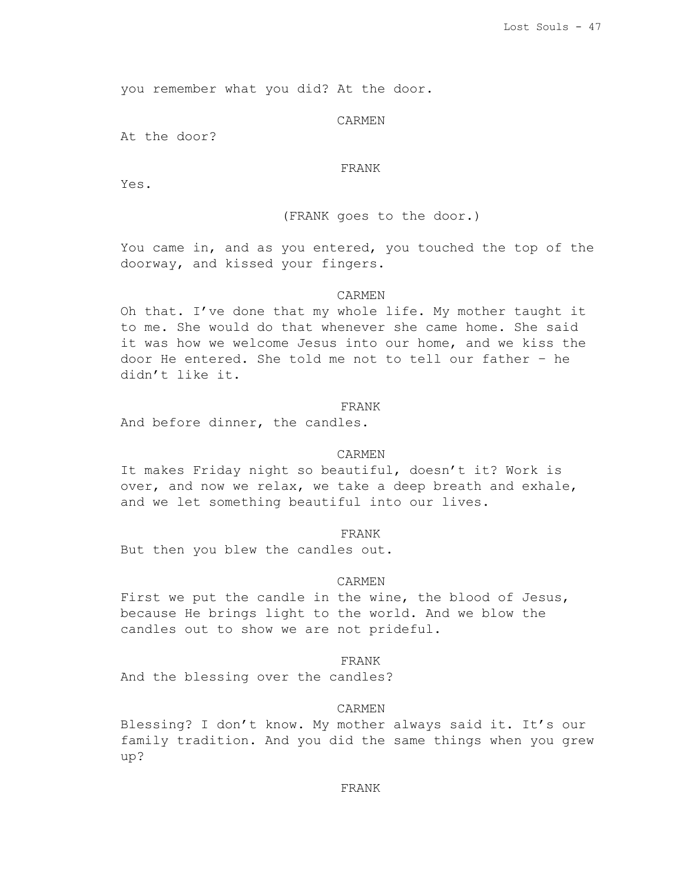you remember what you did? At the door.

#### CARMEN

At the door?

# FRANK

Yes.

# (FRANK goes to the door.)

You came in, and as you entered, you touched the top of the doorway, and kissed your fingers.

# CARMEN

Oh that. I've done that my whole life. My mother taught it to me. She would do that whenever she came home. She said it was how we welcome Jesus into our home, and we kiss the door He entered. She told me not to tell our father – he didn't like it.

### FRANK

And before dinner, the candles.

# CARMEN

It makes Friday night so beautiful, doesn't it? Work is over, and now we relax, we take a deep breath and exhale, and we let something beautiful into our lives.

#### FRANK

But then you blew the candles out.

# CARMEN

First we put the candle in the wine, the blood of Jesus, because He brings light to the world. And we blow the candles out to show we are not prideful.

# FRANK

And the blessing over the candles?

## CARMEN

Blessing? I don't know. My mother always said it. It's our family tradition. And you did the same things when you grew up?

### FRANK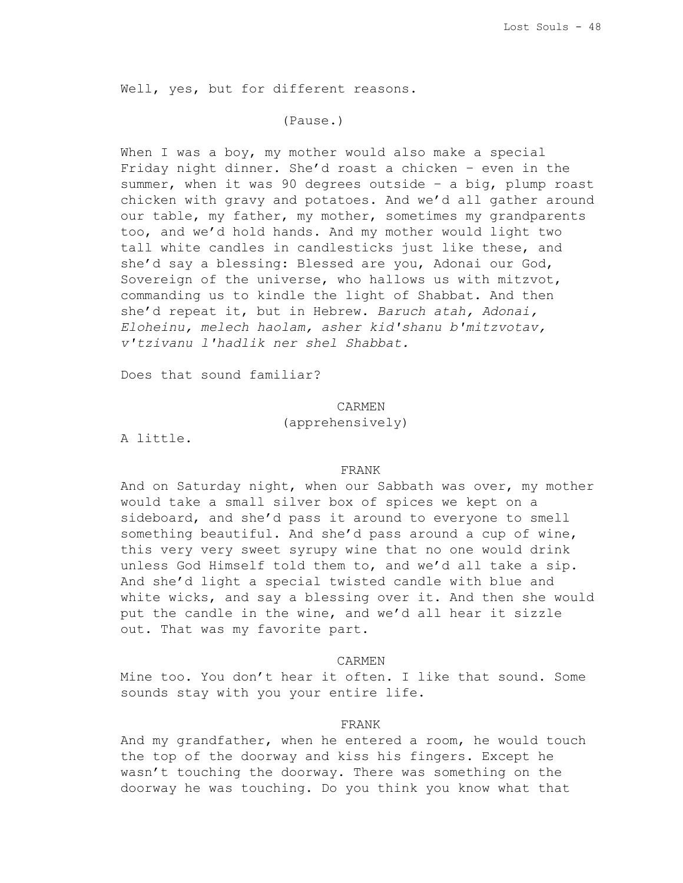Well, yes, but for different reasons.

# (Pause.)

When I was a boy, my mother would also make a special Friday night dinner. She'd roast a chicken – even in the summer, when it was 90 degrees outside – a big, plump roast chicken with gravy and potatoes. And we'd all gather around our table, my father, my mother, sometimes my grandparents too, and we'd hold hands. And my mother would light two tall white candles in candlesticks just like these, and she'd say a blessing: Blessed are you, Adonai our God, Sovereign of the universe, who hallows us with mitzvot, commanding us to kindle the light of Shabbat. And then she'd repeat it, but in Hebrew. *Baruch atah, Adonai, Eloheinu, melech haolam, asher kid'shanu b'mitzvotav, v'tzivanu l'hadlik ner shel Shabbat.*

Does that sound familiar?

CARMEN

(apprehensively)

A little.

### FRANK

And on Saturday night, when our Sabbath was over, my mother would take a small silver box of spices we kept on a sideboard, and she'd pass it around to everyone to smell something beautiful. And she'd pass around a cup of wine, this very very sweet syrupy wine that no one would drink unless God Himself told them to, and we'd all take a sip. And she'd light a special twisted candle with blue and white wicks, and say a blessing over it. And then she would put the candle in the wine, and we'd all hear it sizzle out. That was my favorite part.

### CARMEN

Mine too. You don't hear it often. I like that sound. Some sounds stay with you your entire life.

## FRANK

And my grandfather, when he entered a room, he would touch the top of the doorway and kiss his fingers. Except he wasn't touching the doorway. There was something on the doorway he was touching. Do you think you know what that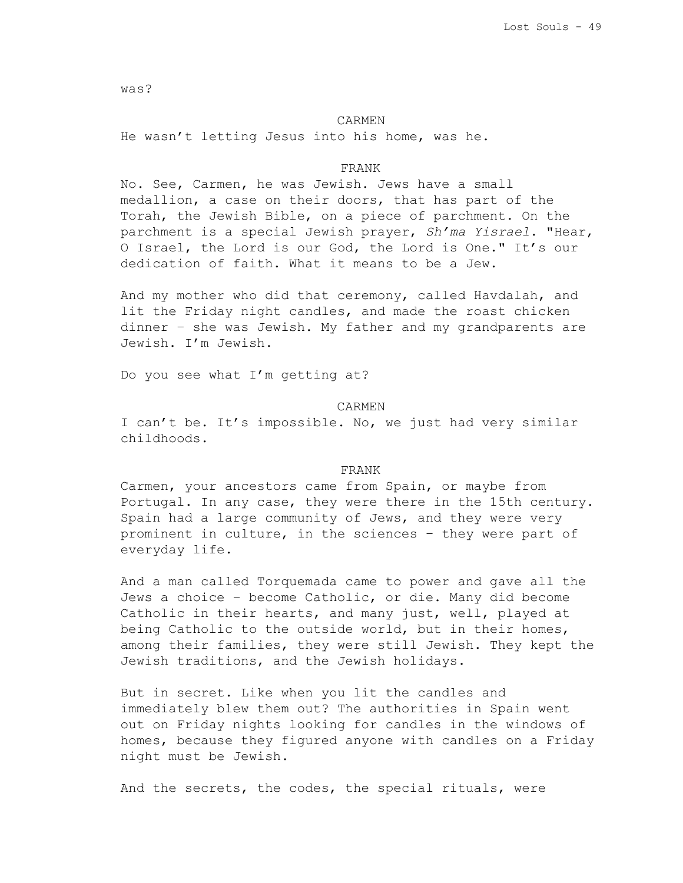was?

#### CARMEN

He wasn't letting Jesus into his home, was he.

# FRANK

No. See, Carmen, he was Jewish. Jews have a small medallion, a case on their doors, that has part of the Torah, the Jewish Bible, on a piece of parchment. On the parchment is a special Jewish prayer, *Sh'ma Yisrael*. "Hear, O Israel, the Lord is our God, the Lord is One." It's our dedication of faith. What it means to be a Jew.

And my mother who did that ceremony, called Havdalah, and lit the Friday night candles, and made the roast chicken dinner – she was Jewish. My father and my grandparents are Jewish. I'm Jewish.

Do you see what I'm getting at?

CARMEN

I can't be. It's impossible. No, we just had very similar childhoods.

#### FRANK

Carmen, your ancestors came from Spain, or maybe from Portugal. In any case, they were there in the 15th century. Spain had a large community of Jews, and they were very prominent in culture, in the sciences – they were part of everyday life.

And a man called Torquemada came to power and gave all the Jews a choice – become Catholic, or die. Many did become Catholic in their hearts, and many just, well, played at being Catholic to the outside world, but in their homes, among their families, they were still Jewish. They kept the Jewish traditions, and the Jewish holidays.

But in secret. Like when you lit the candles and immediately blew them out? The authorities in Spain went out on Friday nights looking for candles in the windows of homes, because they figured anyone with candles on a Friday night must be Jewish.

And the secrets, the codes, the special rituals, were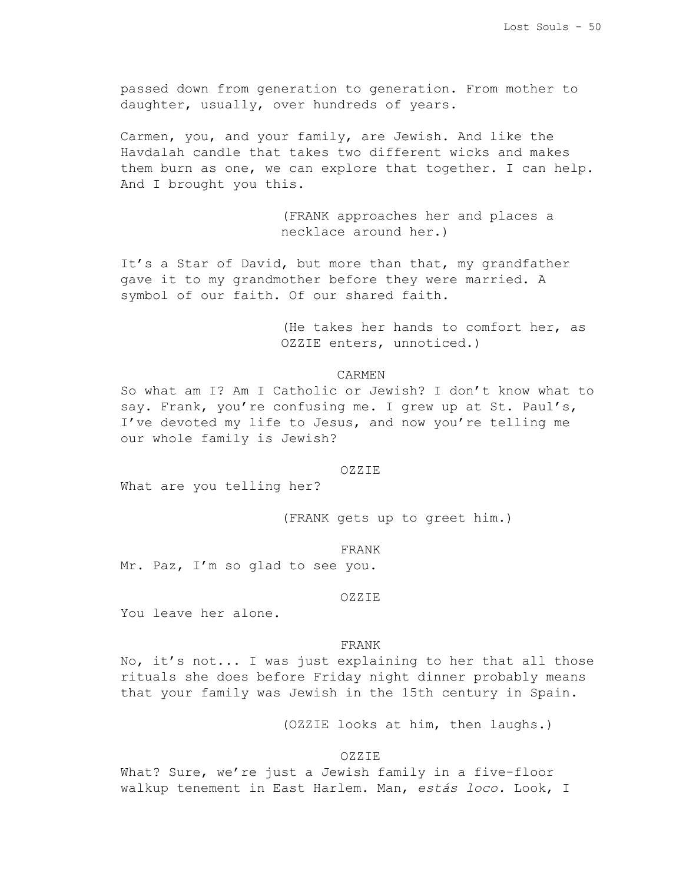passed down from generation to generation. From mother to daughter, usually, over hundreds of years.

Carmen, you, and your family, are Jewish. And like the Havdalah candle that takes two different wicks and makes them burn as one, we can explore that together. I can help. And I brought you this.

> (FRANK approaches her and places a necklace around her.)

It's a Star of David, but more than that, my grandfather gave it to my grandmother before they were married. A symbol of our faith. Of our shared faith.

> (He takes her hands to comfort her, as OZZIE enters, unnoticed.)

# CARMEN

So what am I? Am I Catholic or Jewish? I don't know what to say. Frank, you're confusing me. I grew up at St. Paul's, I've devoted my life to Jesus, and now you're telling me our whole family is Jewish?

#### OZZIE

What are you telling her?

(FRANK gets up to greet him.)

FRANK

Mr. Paz, I'm so glad to see you.

#### OZZIE

You leave her alone.

### FRANK

No, it's not... I was just explaining to her that all those rituals she does before Friday night dinner probably means that your family was Jewish in the 15th century in Spain.

(OZZIE looks at him, then laughs.)

#### OZZIE

What? Sure, we're just a Jewish family in a five-floor walkup tenement in East Harlem. Man, *estás loco.* Look, I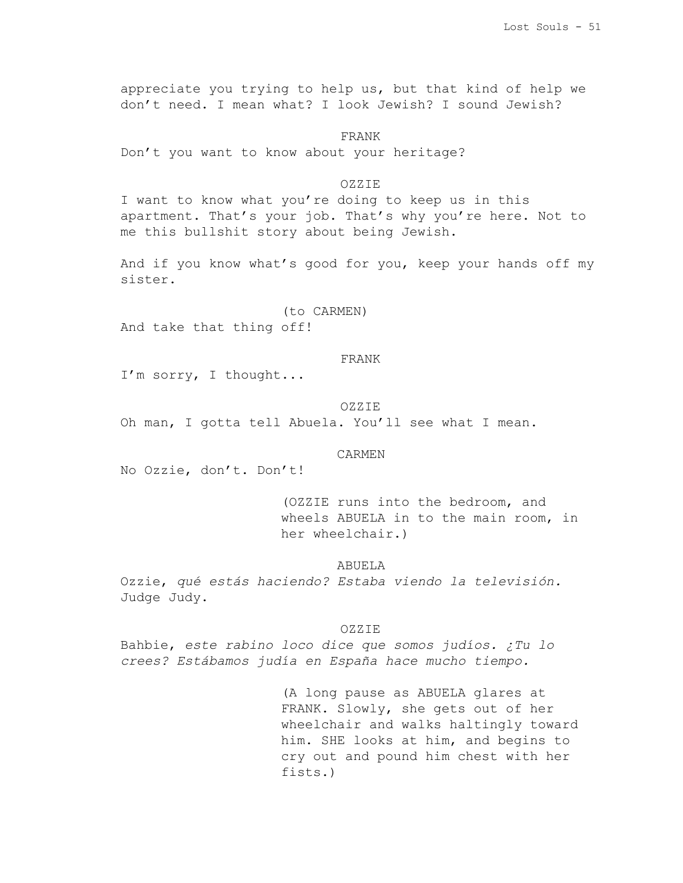appreciate you trying to help us, but that kind of help we don't need. I mean what? I look Jewish? I sound Jewish?

FRANK

Don't you want to know about your heritage?

# OZZIE

I want to know what you're doing to keep us in this apartment. That's your job. That's why you're here. Not to me this bullshit story about being Jewish.

And if you know what's good for you, keep your hands off my sister.

(to CARMEN)

And take that thing off!

## FRANK

I'm sorry, I thought...

### OZZIE

Oh man, I gotta tell Abuela. You'll see what I mean.

### CARMEN

No Ozzie, don't. Don't!

(OZZIE runs into the bedroom, and wheels ABUELA in to the main room, in her wheelchair.)

# ABUELA

Ozzie, *qué estás haciendo? Estaba viendo la televisión.* Judge Judy.

#### OZZIE

Bahbie, *este rabino loco dice que somos judíos. ¿Tu lo crees? Estábamos judía en España hace mucho tiempo.*

> (A long pause as ABUELA glares at FRANK. Slowly, she gets out of her wheelchair and walks haltingly toward him. SHE looks at him, and begins to cry out and pound him chest with her fists.)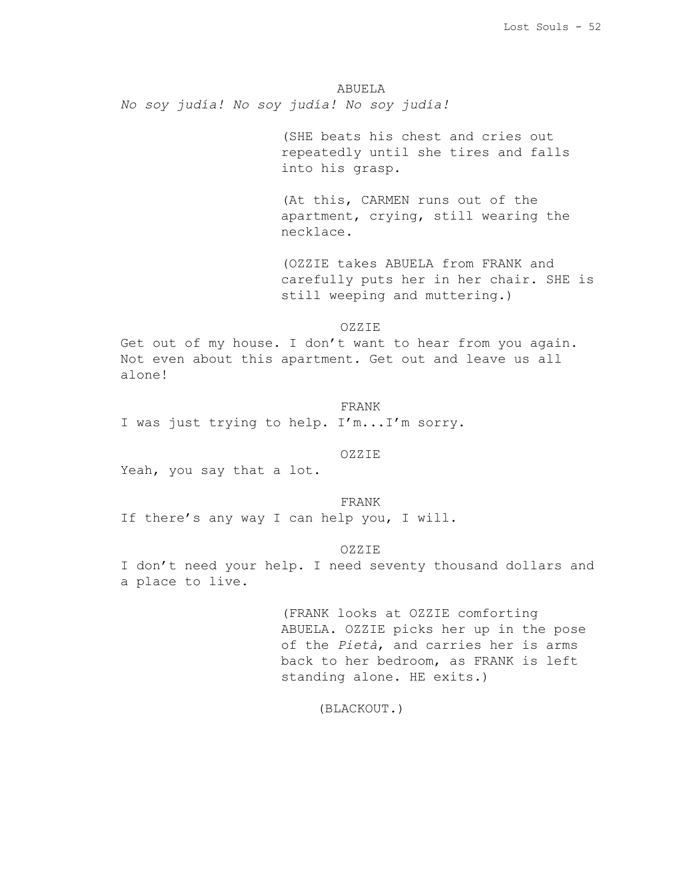ABUELA *No soy judía! No soy judía! No soy judía!*

> (SHE beats his chest and cries out repeatedly until she tires and falls into his grasp.

> (At this, CARMEN runs out of the apartment, crying, still wearing the necklace.

(OZZIE takes ABUELA from FRANK and carefully puts her in her chair. SHE is still weeping and muttering.)

OZZIE

Get out of my house. I don't want to hear from you again. Not even about this apartment. Get out and leave us all alone!

FRANK

I was just trying to help. I'm...I'm sorry.

OZZIE

Yeah, you say that a lot.

FRANK If there's any way I can help you, I will.

OZZIE

I don't need your help. I need seventy thousand dollars and a place to live.

> (FRANK looks at OZZIE comforting ABUELA. OZZIE picks her up in the pose of the *Pietà*, and carries her is arms back to her bedroom, as FRANK is left standing alone. HE exits.)

> > (BLACKOUT.)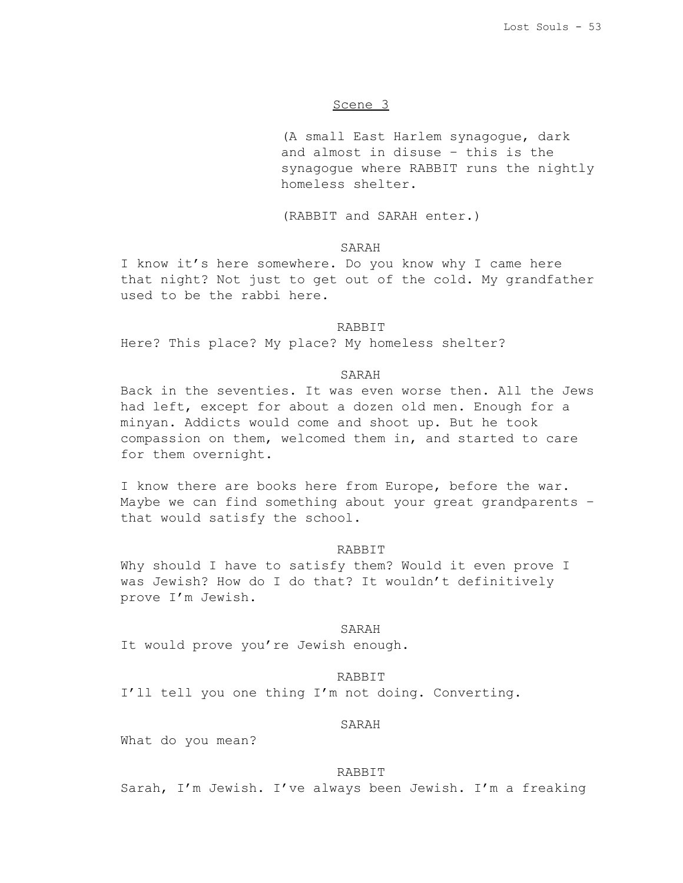# Scene 3

(A small East Harlem synagogue, dark and almost in disuse – this is the synagogue where RABBIT runs the nightly homeless shelter.

(RABBIT and SARAH enter.)

# SARAH

I know it's here somewhere. Do you know why I came here that night? Not just to get out of the cold. My grandfather used to be the rabbi here.

#### RABBIT

Here? This place? My place? My homeless shelter?

# SARAH

Back in the seventies. It was even worse then. All the Jews had left, except for about a dozen old men. Enough for a minyan. Addicts would come and shoot up. But he took compassion on them, welcomed them in, and started to care for them overnight.

I know there are books here from Europe, before the war. Maybe we can find something about your great grandparents – that would satisfy the school.

#### RABBIT

Why should I have to satisfy them? Would it even prove I was Jewish? How do I do that? It wouldn't definitively prove I'm Jewish.

#### SARAH

It would prove you're Jewish enough.

#### RABBIT

I'll tell you one thing I'm not doing. Converting.

# SARAH

What do you mean?

### RABBIT

Sarah, I'm Jewish. I've always been Jewish. I'm a freaking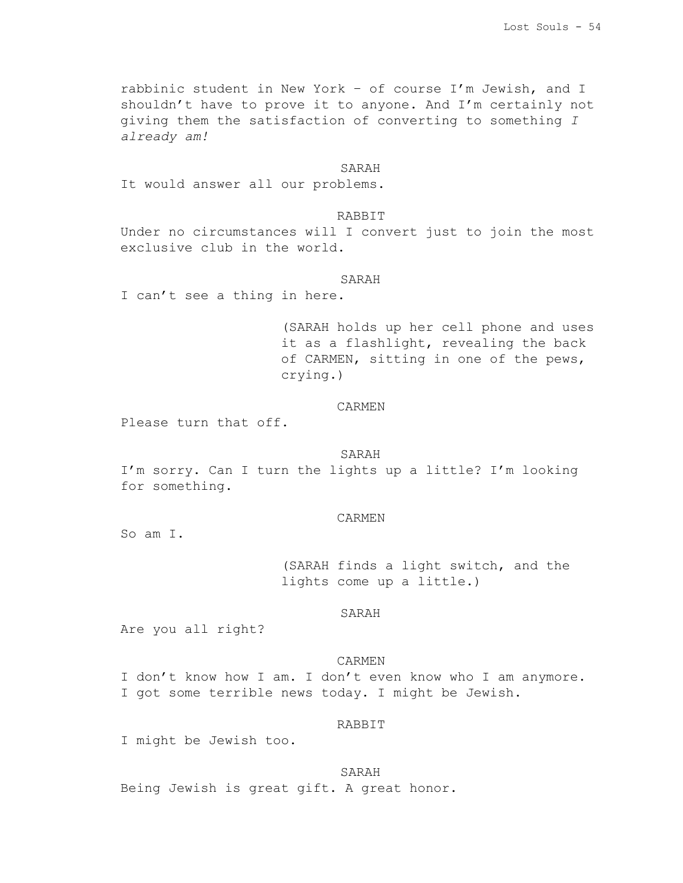rabbinic student in New York – of course I'm Jewish, and I shouldn't have to prove it to anyone. And I'm certainly not giving them the satisfaction of converting to something *I already am!*

# SARAH

It would answer all our problems.

# RABBIT

Under no circumstances will I convert just to join the most exclusive club in the world.

#### SARAH

I can't see a thing in here.

(SARAH holds up her cell phone and uses it as a flashlight, revealing the back of CARMEN, sitting in one of the pews, crying.)

# CARMEN

Please turn that off.

### SARAH

I'm sorry. Can I turn the lights up a little? I'm looking for something.

#### CARMEN

So am I.

(SARAH finds a light switch, and the lights come up a little.)

## SARAH

Are you all right?

# CARMEN

I don't know how I am. I don't even know who I am anymore. I got some terrible news today. I might be Jewish.

# RABBIT

I might be Jewish too.

SARAH Being Jewish is great gift. A great honor.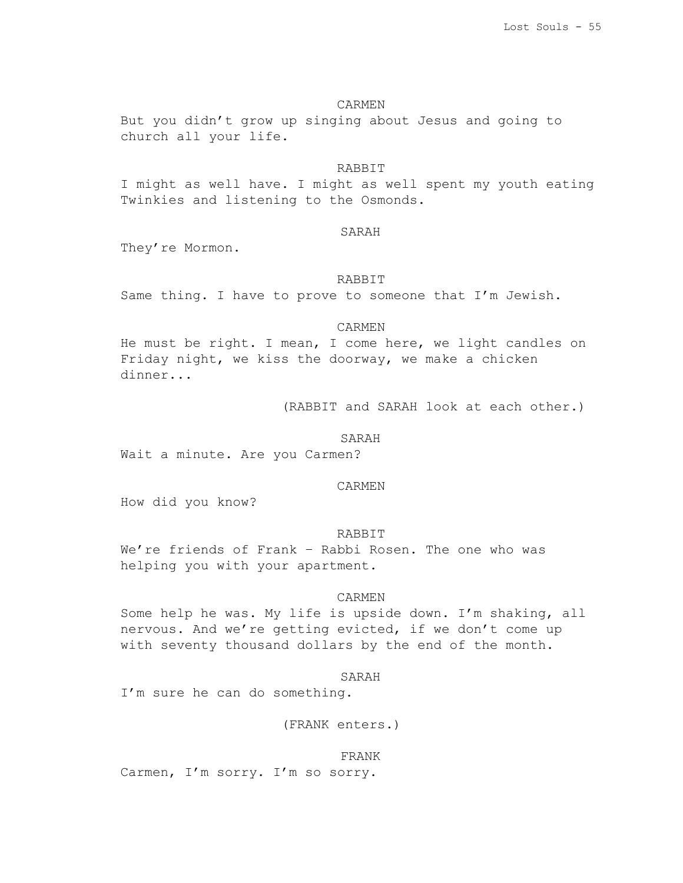### CARMEN

But you didn't grow up singing about Jesus and going to church all your life.

# RABBIT

I might as well have. I might as well spent my youth eating Twinkies and listening to the Osmonds.

# SARAH

They're Mormon.

#### RABBIT

Same thing. I have to prove to someone that I'm Jewish.

#### CARMEN

He must be right. I mean, I come here, we light candles on Friday night, we kiss the doorway, we make a chicken dinner...

(RABBIT and SARAH look at each other.)

#### SARAH

Wait a minute. Are you Carmen?

### CARMEN

How did you know?

# RABBIT

We're friends of Frank – Rabbi Rosen. The one who was helping you with your apartment.

# CARMEN

Some help he was. My life is upside down. I'm shaking, all nervous. And we're getting evicted, if we don't come up with seventy thousand dollars by the end of the month.

#### SARAH

I'm sure he can do something.

(FRANK enters.)

#### FRANK

Carmen, I'm sorry. I'm so sorry.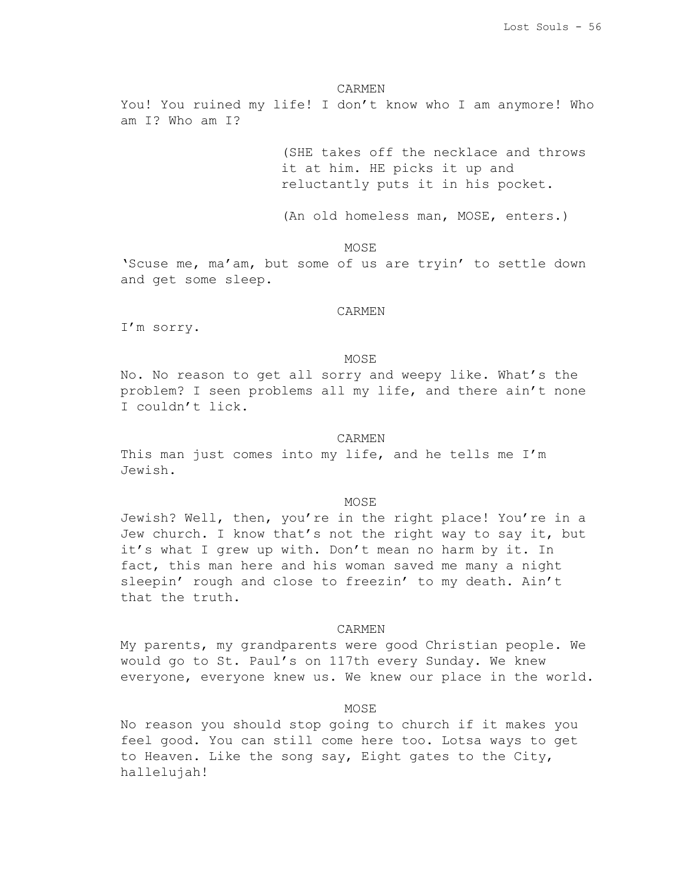#### CARMEN

You! You ruined my life! I don't know who I am anymore! Who am I? Who am I?

> (SHE takes off the necklace and throws it at him. HE picks it up and reluctantly puts it in his pocket.

(An old homeless man, MOSE, enters.)

**MOSE** 

'Scuse me, ma'am, but some of us are tryin' to settle down and get some sleep.

#### CARMEN

I'm sorry.

### MOSE

No. No reason to get all sorry and weepy like. What's the problem? I seen problems all my life, and there ain't none I couldn't lick.

#### CARMEN

This man just comes into my life, and he tells me I'm Jewish.

#### MOSE

Jewish? Well, then, you're in the right place! You're in a Jew church. I know that's not the right way to say it, but it's what I grew up with. Don't mean no harm by it. In fact, this man here and his woman saved me many a night sleepin' rough and close to freezin' to my death. Ain't that the truth.

#### CARMEN

My parents, my grandparents were good Christian people. We would go to St. Paul's on 117th every Sunday. We knew everyone, everyone knew us. We knew our place in the world.

## MOSE

No reason you should stop going to church if it makes you feel good. You can still come here too. Lotsa ways to get to Heaven. Like the song say, Eight gates to the City, hallelujah!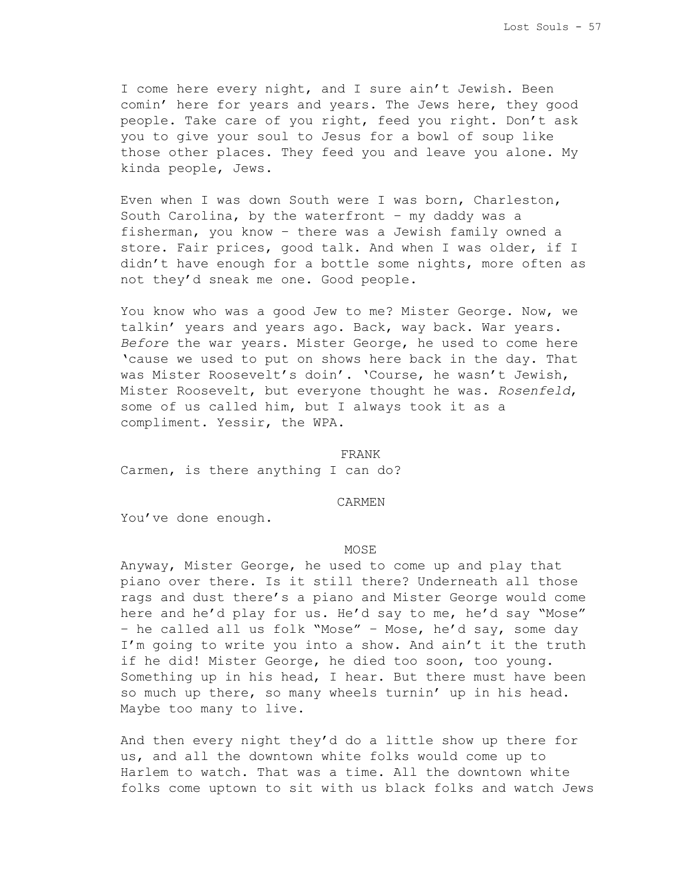I come here every night, and I sure ain't Jewish. Been comin' here for years and years. The Jews here, they good people. Take care of you right, feed you right. Don't ask you to give your soul to Jesus for a bowl of soup like those other places. They feed you and leave you alone. My kinda people, Jews.

Even when I was down South were I was born, Charleston, South Carolina, by the waterfront – my daddy was a fisherman, you know – there was a Jewish family owned a store. Fair prices, good talk. And when I was older, if I didn't have enough for a bottle some nights, more often as not they'd sneak me one. Good people.

You know who was a good Jew to me? Mister George. Now, we talkin' years and years ago. Back, way back. War years. *Before* the war years. Mister George, he used to come here 'cause we used to put on shows here back in the day. That was Mister Roosevelt's doin'. 'Course, he wasn't Jewish, Mister Roosevelt, but everyone thought he was. *Rosenfeld*, some of us called him, but I always took it as a compliment. Yessir, the WPA.

# FRANK

Carmen, is there anything I can do?

## CARMEN

You've done enough.

#### MOSE

Anyway, Mister George, he used to come up and play that piano over there. Is it still there? Underneath all those rags and dust there's a piano and Mister George would come here and he'd play for us. He'd say to me, he'd say "Mose" – he called all us folk "Mose" – Mose, he'd say, some day I'm going to write you into a show. And ain't it the truth if he did! Mister George, he died too soon, too young. Something up in his head, I hear. But there must have been so much up there, so many wheels turnin' up in his head. Maybe too many to live.

And then every night they'd do a little show up there for us, and all the downtown white folks would come up to Harlem to watch. That was a time. All the downtown white folks come uptown to sit with us black folks and watch Jews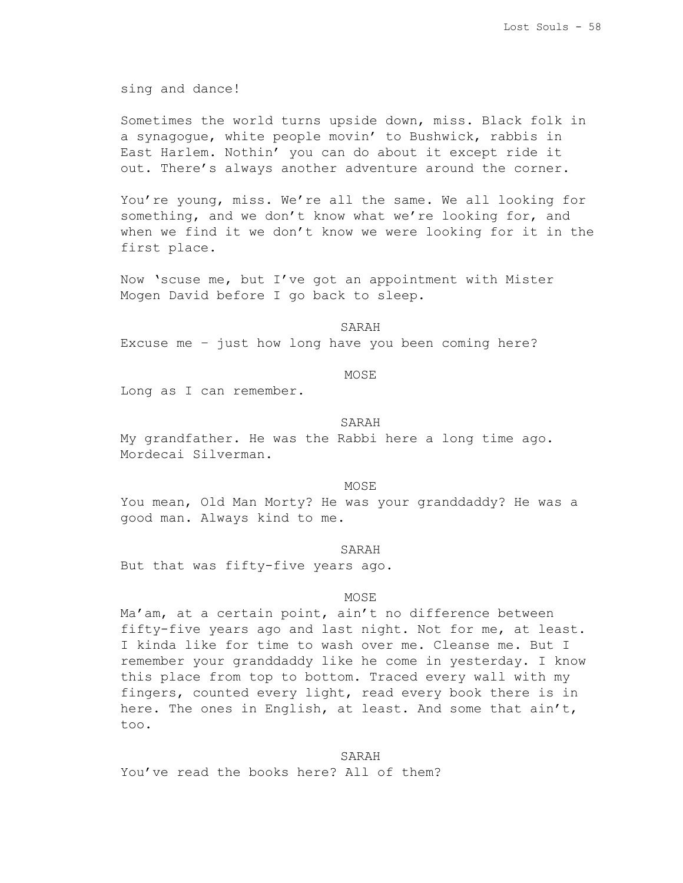sing and dance!

Sometimes the world turns upside down, miss. Black folk in a synagogue, white people movin' to Bushwick, rabbis in East Harlem. Nothin' you can do about it except ride it out. There's always another adventure around the corner.

You're young, miss. We're all the same. We all looking for something, and we don't know what we're looking for, and when we find it we don't know we were looking for it in the first place.

Now 'scuse me, but I've got an appointment with Mister Mogen David before I go back to sleep.

#### SARAH

Excuse me – just how long have you been coming here?

# MOSE

Long as I can remember.

### SARAH

My grandfather. He was the Rabbi here a long time ago. Mordecai Silverman.

### MOSE

You mean, Old Man Morty? He was your granddaddy? He was a good man. Always kind to me.

#### SARAH

But that was fifty-five years ago.

#### MOSE

Ma'am, at a certain point, ain't no difference between fifty-five years ago and last night. Not for me, at least. I kinda like for time to wash over me. Cleanse me. But I remember your granddaddy like he come in yesterday. I know this place from top to bottom. Traced every wall with my fingers, counted every light, read every book there is in here. The ones in English, at least. And some that ain't, too.

### SARAH

You've read the books here? All of them?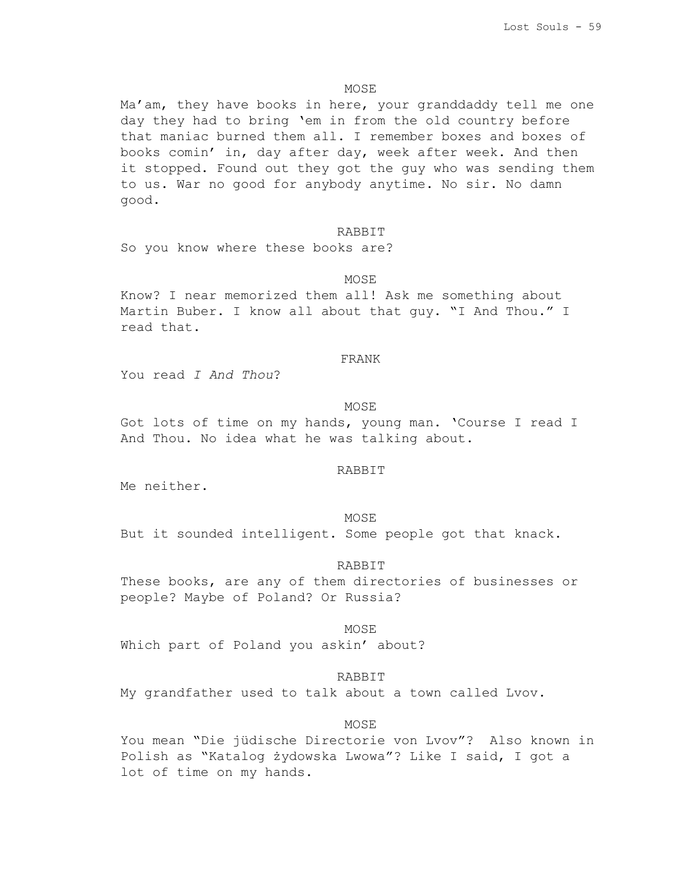### **MOSE**

Ma'am, they have books in here, your granddaddy tell me one day they had to bring 'em in from the old country before that maniac burned them all. I remember boxes and boxes of books comin' in, day after day, week after week. And then it stopped. Found out they got the guy who was sending them to us. War no good for anybody anytime. No sir. No damn good.

#### RABBIT

So you know where these books are?

#### **MOSE**

Know? I near memorized them all! Ask me something about Martin Buber. I know all about that guy. "I And Thou." I read that.

#### FRANK

You read *I And Thou*?

### MOSE

Got lots of time on my hands, young man. 'Course I read I And Thou. No idea what he was talking about.

### RABBIT

Me neither.

#### MOSE

But it sounded intelligent. Some people got that knack.

# RABBIT

These books, are any of them directories of businesses or people? Maybe of Poland? Or Russia?

#### MOSE

Which part of Poland you askin' about?

#### RABBIT

My grandfather used to talk about a town called Lvov.

## **MOSE**

You mean "Die jüdische Directorie von Lvov"? Also known in Polish as "Katalog żydowska Lwowa"? Like I said, I got a lot of time on my hands.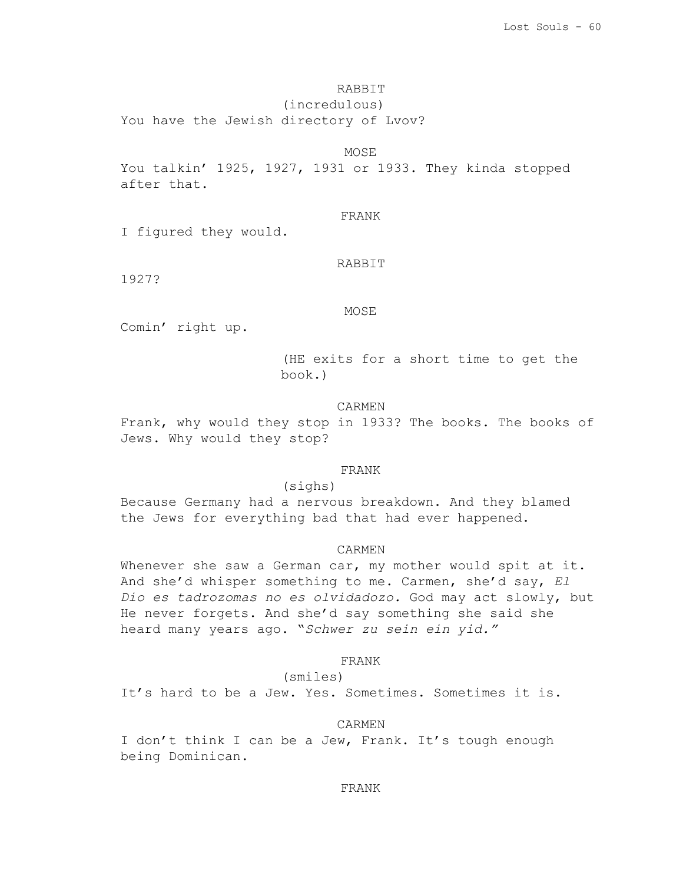# RABBIT

(incredulous) You have the Jewish directory of Lvov?

MOSE

You talkin' 1925, 1927, 1931 or 1933. They kinda stopped after that.

# FRANK

I figured they would.

# RABBIT

1927?

# MOSE

Comin' right up.

(HE exits for a short time to get the book.)

# CARMEN

Frank, why would they stop in 1933? The books. The books of Jews. Why would they stop?

### FRANK

(sighs)

Because Germany had a nervous breakdown. And they blamed the Jews for everything bad that had ever happened.

# CARMEN

Whenever she saw a German car, my mother would spit at it. And she'd whisper something to me. Carmen, she'd say, *El Dio es tadrozomas no es olvidadozo.* God may act slowly, but He never forgets. And she'd say something she said she heard many years ago. "*Schwer zu sein ein yid."*

# FRANK

# (smiles)

It's hard to be a Jew. Yes. Sometimes. Sometimes it is.

# CARMEN

I don't think I can be a Jew, Frank. It's tough enough being Dominican.

### FRANK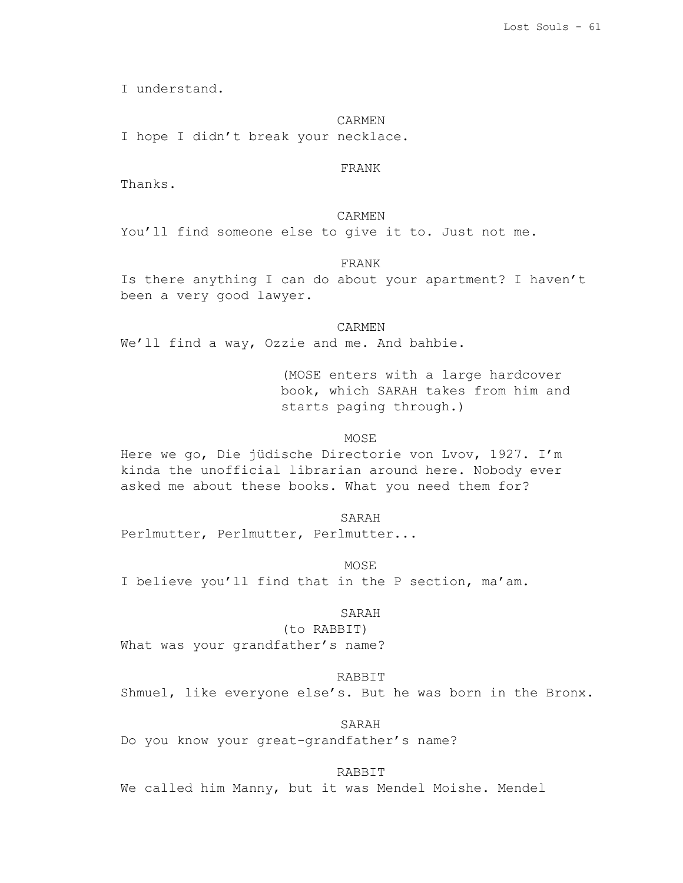I understand.

#### CARMEN

I hope I didn't break your necklace.

# FRANK

Thanks.

CARMEN You'll find someone else to give it to. Just not me.

# FRANK

Is there anything I can do about your apartment? I haven't been a very good lawyer.

CARMEN

We'll find a way, Ozzie and me. And bahbie.

(MOSE enters with a large hardcover book, which SARAH takes from him and starts paging through.)

#### MOSE

Here we go, Die jüdische Directorie von Lvov, 1927. I'm kinda the unofficial librarian around here. Nobody ever asked me about these books. What you need them for?

SARAH Perlmutter, Perlmutter, Perlmutter...

MOSE

I believe you'll find that in the P section, ma'am.

## SARAH

(to RABBIT) What was your grandfather's name?

#### RABBIT

Shmuel, like everyone else's. But he was born in the Bronx.

SARAH

Do you know your great-grandfather's name?

RABBIT

We called him Manny, but it was Mendel Moishe. Mendel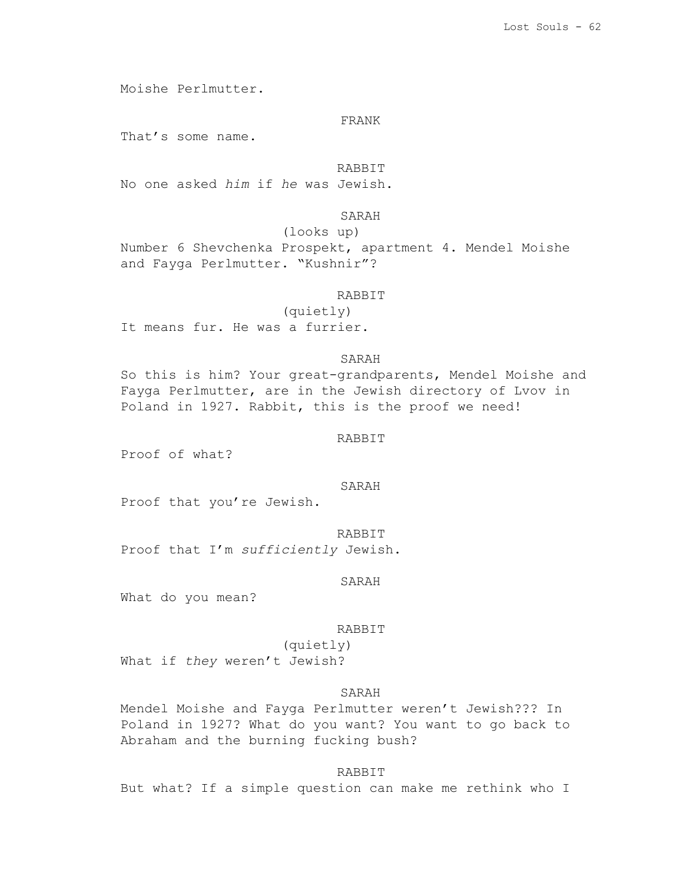Moishe Perlmutter.

#### FRANK

That's some name.

RABBIT

No one asked *him* if *he* was Jewish.

SARAH

(looks up)

Number 6 Shevchenka Prospekt, apartment 4. Mendel Moishe and Fayga Perlmutter. "Kushnir"?

# RABBIT

(quietly) It means fur. He was a furrier.

# SARAH

So this is him? Your great-grandparents, Mendel Moishe and Fayga Perlmutter, are in the Jewish directory of Lvov in Poland in 1927. Rabbit, this is the proof we need!

#### RABBIT

Proof of what?

### SARAH

Proof that you're Jewish.

RABBIT Proof that I'm *sufficiently* Jewish.

# SARAH

What do you mean?

#### RABBIT

(quietly) What if *they* weren't Jewish?

# SARAH

Mendel Moishe and Fayga Perlmutter weren't Jewish??? In Poland in 1927? What do you want? You want to go back to Abraham and the burning fucking bush?

### RABBIT

But what? If a simple question can make me rethink who I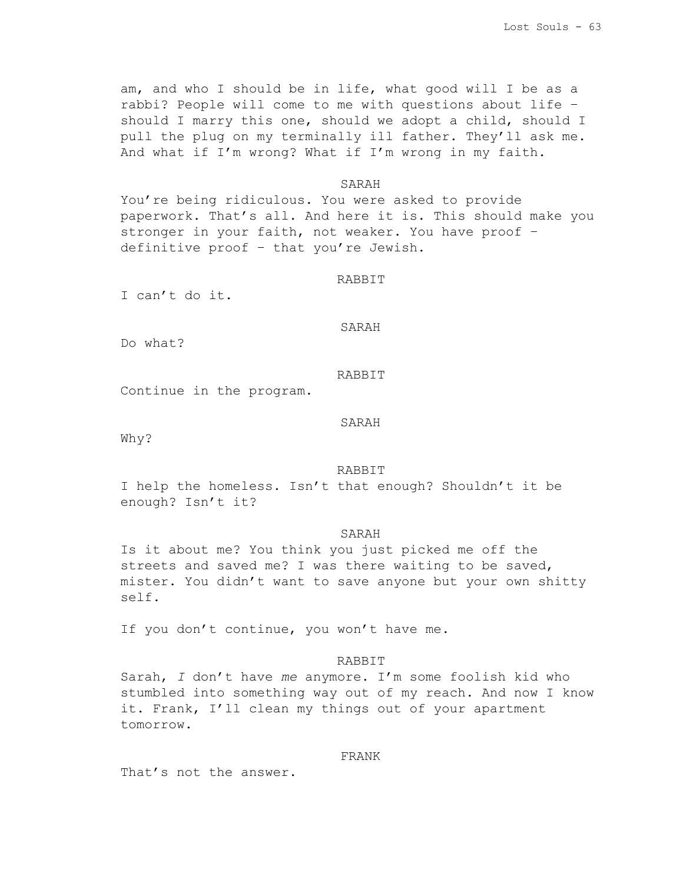am, and who I should be in life, what good will I be as a rabbi? People will come to me with questions about life – should I marry this one, should we adopt a child, should I pull the plug on my terminally ill father. They'll ask me. And what if I'm wrong? What if I'm wrong in my faith.

## SARAH

You're being ridiculous. You were asked to provide paperwork. That's all. And here it is. This should make you stronger in your faith, not weaker. You have proof – definitive proof – that you're Jewish.

#### RABBIT

I can't do it.

#### SARAH

Do what?

# RABBIT

Continue in the program.

# SARAH

Why?

#### RABBIT

I help the homeless. Isn't that enough? Shouldn't it be enough? Isn't it?

## SARAH

Is it about me? You think you just picked me off the streets and saved me? I was there waiting to be saved, mister. You didn't want to save anyone but your own shitty self.

If you don't continue, you won't have me.

# RABBIT

Sarah, *I* don't have *me* anymore. I'm some foolish kid who stumbled into something way out of my reach. And now I know it. Frank, I'll clean my things out of your apartment tomorrow.

#### FRANK

That's not the answer.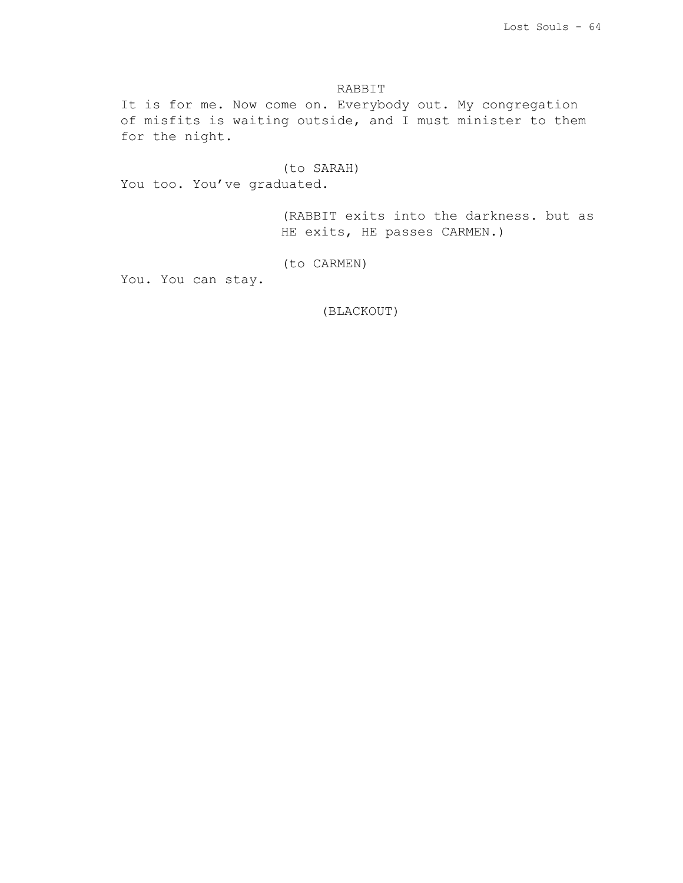# RABBIT

It is for me. Now come on. Everybody out. My congregation of misfits is waiting outside, and I must minister to them for the night.

# (to SARAH)

You too. You've graduated.

(RABBIT exits into the darkness. but as HE exits, HE passes CARMEN.)

# (to CARMEN)

You. You can stay.

(BLACKOUT)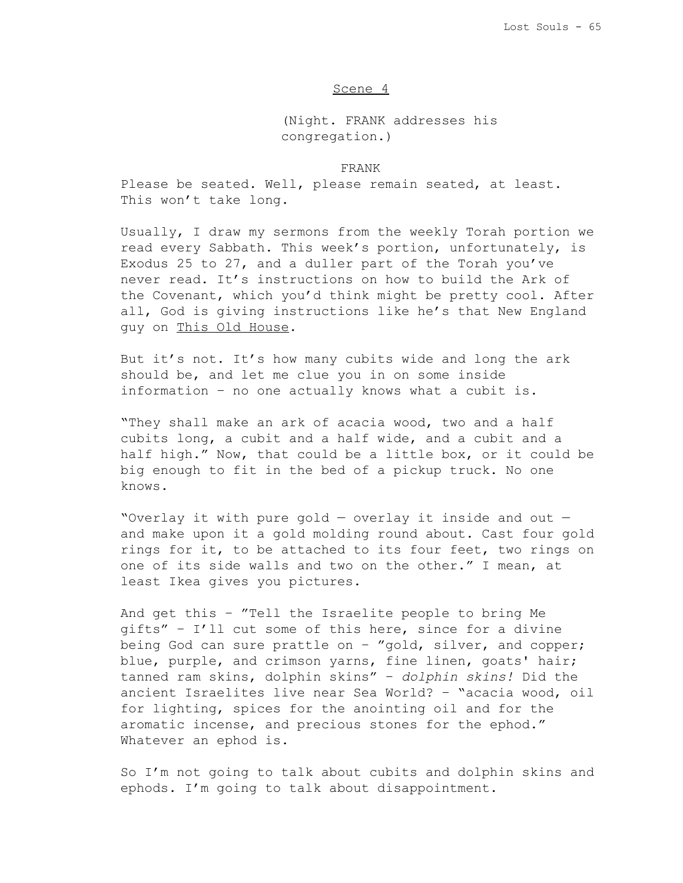### Scene 4

(Night. FRANK addresses his congregation.)

### FRANK

Please be seated. Well, please remain seated, at least. This won't take long.

Usually, I draw my sermons from the weekly Torah portion we read every Sabbath. This week's portion, unfortunately, is Exodus 25 to 27, and a duller part of the Torah you've never read. It's instructions on how to build the Ark of the Covenant, which you'd think might be pretty cool. After all, God is giving instructions like he's that New England guy on This Old House.

But it's not. It's how many cubits wide and long the ark should be, and let me clue you in on some inside information – no one actually knows what a cubit is.

"They shall make an ark of acacia wood, two and a half cubits long, a cubit and a half wide, and a cubit and a half high." Now, that could be a little box, or it could be big enough to fit in the bed of a pickup truck. No one knows.

"Overlay it with pure gold — overlay it inside and out and make upon it a gold molding round about. Cast four gold rings for it, to be attached to its four feet, two rings on one of its side walls and two on the other." I mean, at least Ikea gives you pictures.

And get this – "Tell the Israelite people to bring Me gifts" – I'll cut some of this here, since for a divine being God can sure prattle on – "gold, silver, and copper; blue, purple, and crimson yarns, fine linen, goats' hair; tanned ram skins, dolphin skins" – *dolphin skins!* Did the ancient Israelites live near Sea World? – "acacia wood, oil for lighting, spices for the anointing oil and for the aromatic incense, and precious stones for the ephod." Whatever an ephod is.

So I'm not going to talk about cubits and dolphin skins and ephods. I'm going to talk about disappointment.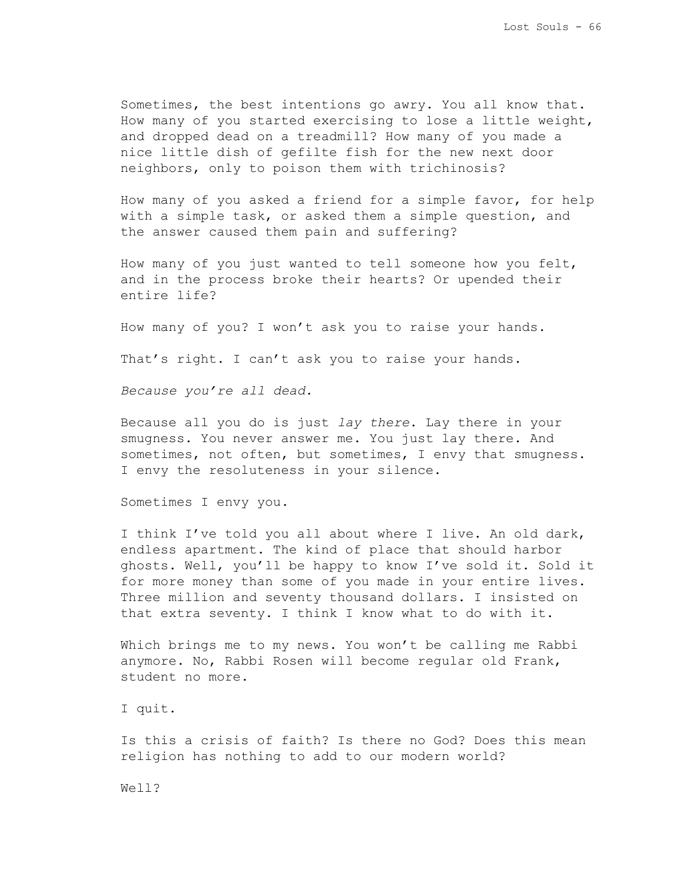Sometimes, the best intentions go awry. You all know that. How many of you started exercising to lose a little weight, and dropped dead on a treadmill? How many of you made a nice little dish of gefilte fish for the new next door neighbors, only to poison them with trichinosis?

How many of you asked a friend for a simple favor, for help with a simple task, or asked them a simple question, and the answer caused them pain and suffering?

How many of you just wanted to tell someone how you felt, and in the process broke their hearts? Or upended their entire life?

How many of you? I won't ask you to raise your hands.

That's right. I can't ask you to raise your hands.

*Because you're all dead.*

Because all you do is just *lay there*. Lay there in your smugness. You never answer me. You just lay there. And sometimes, not often, but sometimes, I envy that smugness. I envy the resoluteness in your silence.

Sometimes I envy you.

I think I've told you all about where I live. An old dark, endless apartment. The kind of place that should harbor ghosts. Well, you'll be happy to know I've sold it. Sold it for more money than some of you made in your entire lives. Three million and seventy thousand dollars. I insisted on that extra seventy. I think I know what to do with it.

Which brings me to my news. You won't be calling me Rabbi anymore. No, Rabbi Rosen will become regular old Frank, student no more.

I quit.

Is this a crisis of faith? Is there no God? Does this mean religion has nothing to add to our modern world?

Well?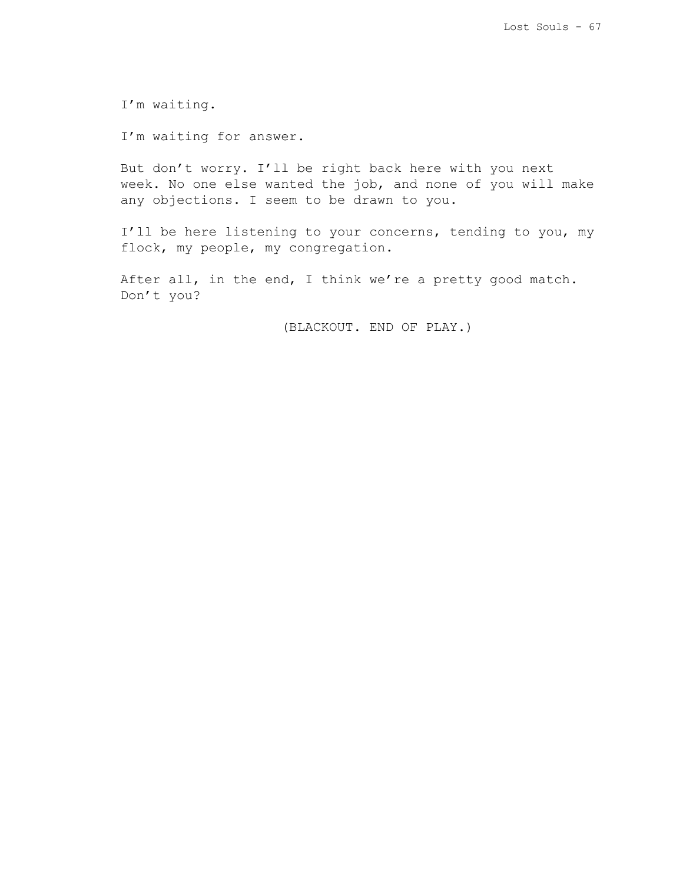I'm waiting.

I'm waiting for answer.

But don't worry. I'll be right back here with you next week. No one else wanted the job, and none of you will make any objections. I seem to be drawn to you.

I'll be here listening to your concerns, tending to you, my flock, my people, my congregation.

After all, in the end, I think we're a pretty good match. Don't you?

(BLACKOUT. END OF PLAY.)